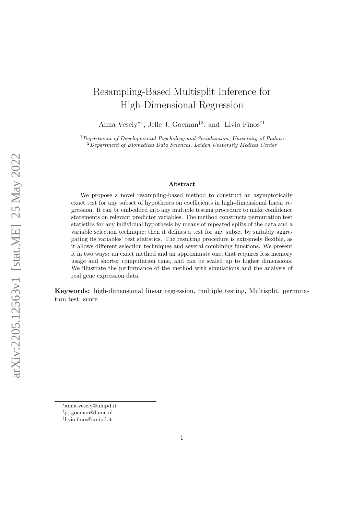# Resampling-Based Multisplit Inference for High-Dimensional Regression

Anna Vesely<sup>∗1</sup>, Jelle J. Goeman<sup>†2</sup>, and Livio Finos<sup>‡1</sup>

 $1$ Department of Developmental Psychology and Socialization, University of Padova  $2$ Department of Biomedical Data Sciences, Leiden University Medical Center

#### Abstract

We propose a novel resampling-based method to construct an asymptotically exact test for any subset of hypotheses on coefficients in high-dimensional linear regression. It can be embedded into any multiple testing procedure to make confidence statements on relevant predictor variables. The method constructs permutation test statistics for any individual hypothesis by means of repeated splits of the data and a variable selection technique; then it defines a test for any subset by suitably aggregating its variables' test statistics. The resulting procedure is extremely flexible, as it allows different selection techniques and several combining functions. We present it in two ways: an exact method and an approximate one, that requires less memory usage and shorter computation time, and can be scaled up to higher dimensions. We illustrate the performance of the method with simulations and the analysis of real gene expression data.

Keywords: high-dimensional linear regression, multiple testing, Multisplit, permutation test, score

<sup>∗</sup> [anna.vesely@unipd.it](mailto:anna.vesely@unipd.it)

<sup>†</sup> [j.j.goeman@lumc.nl](mailto:j.j.goeman@lumc.nl)

<sup>‡</sup> [livio.finos@unipd.it](mailto:livio.finos@unipd.it)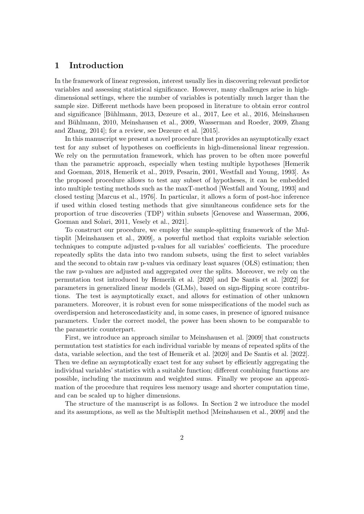# 1 Introduction

In the framework of linear regression, interest usually lies in discovering relevant predictor variables and assessing statistical significance. However, many challenges arise in highdimensional settings, where the number of variables is potentially much larger than the sample size. Different methods have been proposed in literature to obtain error control and significance [Bühlmann, 2013, [Dezeure et al., 2017,](#page-14-1) [Lee et al., 2016,](#page-14-2) [Meinshausen](#page-15-0) and Bühlmann, 2010, [Meinshausen et al., 2009,](#page-15-1) [Wasserman and Roeder, 2009,](#page-15-2) [Zhang](#page-15-3) [and Zhang, 2014\]](#page-15-3); for a review, see [Dezeure et al.](#page-14-3) [\[2015\]](#page-14-3).

In this manuscript we present a novel procedure that provides an asymptotically exact test for any subset of hypotheses on coefficients in high-dimensional linear regression. We rely on the permutation framework, which has proven to be often more powerful than the parametric approach, especially when testing multiple hypotheses [\[Hemerik](#page-14-4) [and Goeman, 2018,](#page-14-4) [Hemerik et al., 2019,](#page-14-5) [Pesarin, 2001,](#page-15-4) [Westfall and Young, 1993\]](#page-15-5). As the proposed procedure allows to test any subset of hypotheses, it can be embedded into multiple testing methods such as the maxT-method [\[Westfall and Young, 1993\]](#page-15-5) and closed testing [\[Marcus et al., 1976\]](#page-14-6). In particular, it allows a form of post-hoc inference if used within closed testing methods that give simultaneous confidence sets for the proportion of true discoveries (TDP) within subsets [\[Genovese and Wasserman, 2006,](#page-14-7) [Goeman and Solari, 2011,](#page-14-8) [Vesely et al., 2021\]](#page-15-6).

To construct our procedure, we employ the sample-splitting framework of the Multisplit [\[Meinshausen et al., 2009\]](#page-15-1), a powerful method that exploits variable selection techniques to compute adjusted p-values for all variables' coefficients. The procedure repeatedly splits the data into two random subsets, using the first to select variables and the second to obtain raw p-values via ordinary least squares (OLS) estimation; then the raw p-values are adjusted and aggregated over the splits. Moreover, we rely on the permutation test introduced by [Hemerik et al.](#page-14-9) [\[2020\]](#page-14-9) and [De Santis et al.](#page-14-10) [\[2022\]](#page-14-10) for parameters in generalized linear models (GLMs), based on sign-flipping score contributions. The test is asymptotically exact, and allows for estimation of other unknown parameters. Moreover, it is robust even for some misspecifications of the model such as overdispersion and heteroscedasticity and, in some cases, in presence of ignored nuisance parameters. Under the correct model, the power has been shown to be comparable to the parametric counterpart.

First, we introduce an approach similar to [Meinshausen et al.](#page-15-1) [\[2009\]](#page-15-1) that constructs permutation test statistics for each individual variable by means of repeated splits of the data, variable selection, and the test of [Hemerik et al.](#page-14-9) [\[2020\]](#page-14-9) and [De Santis et al.](#page-14-10) [\[2022\]](#page-14-10). Then we define an asymptotically exact test for any subset by efficiently aggregating the individual variables' statistics with a suitable function; different combining functions are possible, including the maximum and weighted sums. Finally we propose an approximation of the procedure that requires less memory usage and shorter computation time, and can be scaled up to higher dimensions.

The structure of the manuscript is as follows. In Section [2](#page-2-0) we introduce the model and its assumptions, as well as the Multisplit method [\[Meinshausen et al., 2009\]](#page-15-1) and the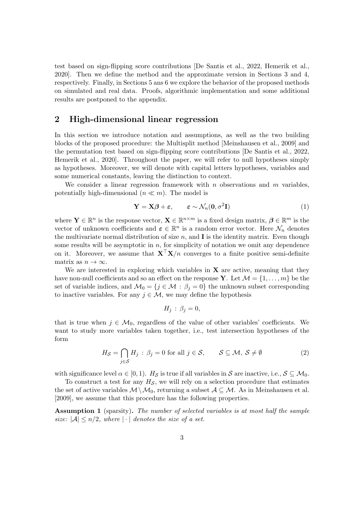test based on sign-flipping score contributions [\[De Santis et al., 2022,](#page-14-10) [Hemerik et al.,](#page-14-9) [2020\]](#page-14-9). Then we define the method and the approximate version in Sections [3](#page-5-0) and [4,](#page-7-0) respectively. Finally, in Sections [5](#page-8-0) ans [6](#page-12-0) we explore the behavior of the proposed methods on simulated and real data. Proofs, algorithmic implementation and some additional results are postponed to the appendix.

# <span id="page-2-0"></span>2 High-dimensional linear regression

In this section we introduce notation and assumptions, as well as the two building blocks of the proposed procedure: the Multisplit method [\[Meinshausen et al., 2009\]](#page-15-1) and the permutation test based on sign-flipping score contributions [\[De Santis et al., 2022,](#page-14-10) [Hemerik et al., 2020\]](#page-14-9). Throughout the paper, we will refer to null hypotheses simply as hypotheses. Moreover, we will denote with capital letters hypotheses, variables and some numerical constants, leaving the distinction to context.

We consider a linear regression framework with n observations and  $m$  variables, potentially high-dimensional  $(n \ll m)$ . The model is

<span id="page-2-3"></span>
$$
\mathbf{Y} = \mathbf{X}\boldsymbol{\beta} + \boldsymbol{\varepsilon}, \qquad \boldsymbol{\varepsilon} \sim \mathcal{N}_n(\mathbf{0}, \sigma^2 \mathbf{I}) \tag{1}
$$

where  $\mathbf{Y} \in \mathbb{R}^n$  is the response vector,  $\mathbf{X} \in \mathbb{R}^{n \times m}$  is a fixed design matrix,  $\boldsymbol{\beta} \in \mathbb{R}^m$  is the vector of unknown coefficients and  $\boldsymbol{\varepsilon} \in \mathbb{R}^n$  is a random error vector. Here  $\mathcal{N}_n$  denotes the multivariate normal distribution of size  $n$ , and **I** is the identity matrix. Even though some results will be asymptotic in  $n$ , for simplicity of notation we omit any dependence on it. Moreover, we assume that  $X^{\top}X/n$  converges to a finite positive semi-definite matrix as  $n \to \infty$ .

We are interested in exploring which variables in  $X$  are active, meaning that they have non-null coefficients and so an effect on the response Y. Let  $\mathcal{M} = \{1, \ldots, m\}$  be the set of variable indices, and  $\mathcal{M}_0 = \{j \in \mathcal{M} : \beta_j = 0\}$  the unknown subset corresponding to inactive variables. For any  $j \in \mathcal{M}$ , we may define the hypothesis

<span id="page-2-2"></span>
$$
H_j\,:\,\beta_j=0,
$$

that is true when  $j \in \mathcal{M}_0$ , regardless of the value of other variables' coefficients. We want to study more variables taken together, i.e., test intersection hypotheses of the form

$$
H_{\mathcal{S}} = \bigcap_{j \in \mathcal{S}} H_j : \beta_j = 0 \text{ for all } j \in \mathcal{S}, \qquad \mathcal{S} \subseteq \mathcal{M}, \ \mathcal{S} \neq \emptyset \tag{2}
$$

with significance level  $\alpha \in [0,1)$ .  $H_{\mathcal{S}}$  is true if all variables in  $\mathcal{S}$  are inactive, i.e.,  $\mathcal{S} \subseteq \mathcal{M}_0$ .

To construct a test for any  $H_{\mathcal{S}}$ , we will rely on a selection procedure that estimates the set of active variables  $\mathcal{M} \setminus \mathcal{M}_0$ , returning a subset  $\mathcal{A} \subseteq \mathcal{M}$ . As in [Meinshausen et al.](#page-15-1) [\[2009\]](#page-15-1), we assume that this procedure has the following properties.

<span id="page-2-1"></span>Assumption 1 (sparsity). The number of selected variables is at most half the sample size:  $|\mathcal{A}| \leq n/2$ , where  $|\cdot|$  denotes the size of a set.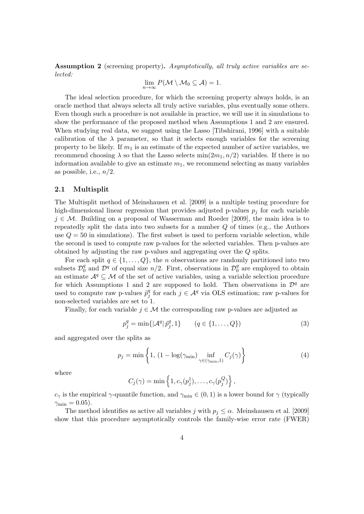<span id="page-3-0"></span>Assumption 2 (screening property). Asymptotically, all truly active variables are selected:

$$
\lim_{n\to\infty}P(\mathcal{M}\setminus\mathcal{M}_0\subseteq\mathcal{A})=1.
$$

The ideal selection procedure, for which the screening property always holds, is an oracle method that always selects all truly active variables, plus eventually some others. Even though such a procedure is not available in practice, we will use it in simulations to show the performance of the proposed method when Assumptions [1](#page-2-1) and [2](#page-3-0) are ensured. When studying real data, we suggest using the Lasso [\[Tibshirani, 1996\]](#page-15-7) with a suitable calibration of the  $\lambda$  parameter, so that it selects enough variables for the screening property to be likely. If  $m_1$  is an estimate of the expected number of active variables, we recommend choosing  $\lambda$  so that the Lasso selects min $(2m_1, n/2)$  variables. If there is no information available to give an estimate  $m_1$ , we recommend selecting as many variables as possible, i.e.,  $n/2$ .

### <span id="page-3-1"></span>2.1 Multisplit

The Multisplit method of [Meinshausen et al.](#page-15-1) [\[2009\]](#page-15-1) is a multiple testing procedure for high-dimensional linear regression that provides adjusted p-values  $p_i$  for each variable  $j \in \mathcal{M}$ . Building on a proposal of [Wasserman and Roeder](#page-15-2) [\[2009\]](#page-15-2), the main idea is to repeatedly split the data into two subsets for a number  $Q$  of times (e.g., the Authors use  $Q = 50$  in simulations). The first subset is used to perform variable selection, while the second is used to compute raw p-values for the selected variables. Then p-values are obtained by adjusting the raw p-values and aggregating over the Q splits.

For each split  $q \in \{1, \ldots, Q\}$ , the *n* observations are randomly partitioned into two subsets  $\mathcal{D}_0^q$  $\frac{q}{0}$  and  $\mathcal{D}^q$  of equal size  $n/2$ . First, observations in  $\mathcal{D}_0^q$  $_0^q$  are employed to obtain an estimate  $\mathcal{A}^q \subseteq \mathcal{M}$  of the set of active variables, using a variable selection procedure for which Assumptions [1](#page-2-1) and [2](#page-3-0) are supposed to hold. Then observations in  $\mathcal{D}^q$  are used to compute raw p-values  $\tilde{p}_i^q$  $_j^q$  for each  $j \in \mathcal{A}^q$  via OLS estimation; raw p-values for non-selected variables are set to 1.

Finally, for each variable  $j \in \mathcal{M}$  the corresponding raw p-values are adjusted as

<span id="page-3-2"></span>
$$
p_j^q = \min\{|\mathcal{A}^q|\,\tilde{p}_j^q, 1\} \qquad (q \in \{1, ..., Q\})
$$
\n(3)

and aggregated over the splits as

$$
p_j = \min\left\{1, \left(1 - \log(\gamma_{\min}) \inf_{\gamma \in (\gamma_{\min}, 1)} C_j(\gamma)\right)\right\} \tag{4}
$$

where

<span id="page-3-3"></span>
$$
C_j(\gamma) = \min \left\{ 1, c_{\gamma}(p_j^1), \ldots, c_{\gamma}(p_j^Q) \right\},\,
$$

 $c_{\gamma}$  is the empirical  $\gamma$ -quantile function, and  $\gamma_{\text{min}} \in (0, 1)$  is a lower bound for  $\gamma$  (typically  $\gamma_{\rm min} = 0.05$ ).

The method identifies as active all variables j with  $p_i \leq \alpha$ . [Meinshausen et al.](#page-15-1) [\[2009\]](#page-15-1) show that this procedure asymptotically controls the family-wise error rate (FWER)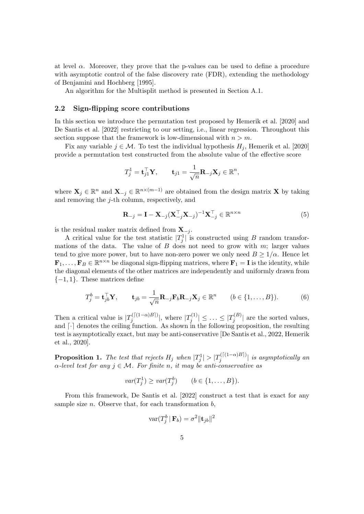at level  $\alpha$ . Moreover, they prove that the p-values can be used to define a procedure with asymptotic control of the false discovery rate (FDR), extending the methodology of [Benjamini and Hochberg](#page-13-0) [\[1995\]](#page-13-0).

An algorithm for the Multisplit method is presented in Section [A.1.](#page-16-0)

#### <span id="page-4-0"></span>2.2 Sign-flipping score contributions

In this section we introduce the permutation test proposed by [Hemerik et al.](#page-14-9) [\[2020\]](#page-14-9) and [De Santis et al.](#page-14-10) [\[2022\]](#page-14-10) restricting to our setting, i.e., linear regression. Throughout this section suppose that the framework is low-dimensional with  $n > m$ .

Fix any variable  $j \in \mathcal{M}$ . To test the individual hypothesis  $H_j$ , [Hemerik et al.](#page-14-9) [\[2020\]](#page-14-9) provide a permutation test constructed from the absolute value of the effective score

$$
T_j^1 = \mathbf{t}_{j1}^\top \mathbf{Y}, \qquad \mathbf{t}_{j1} = \frac{1}{\sqrt{n}} \mathbf{R}_{-j} \mathbf{X}_j \in \mathbb{R}^n,
$$

where  $\mathbf{X}_j \in \mathbb{R}^n$  and  $\mathbf{X}_{-j} \in \mathbb{R}^{n \times (m-1)}$  are obtained from the design matrix X by taking and removing the  $j$ -th column, respectively, and

<span id="page-4-2"></span><span id="page-4-1"></span>
$$
\mathbf{R}_{-j} = \mathbf{I} - \mathbf{X}_{-j} (\mathbf{X}_{-j}^\top \mathbf{X}_{-j})^{-1} \mathbf{X}_{-j}^\top \in \mathbb{R}^{n \times n}
$$
(5)

is the residual maker matrix defined from  $X_{-j}$ .

A critical value for the test statistic  $|T_j^1|$  is constructed using B random transformations of the data. The value of  $B$  does not need to grow with  $m$ ; larger values tend to give more power, but to have non-zero power we only need  $B \geq 1/\alpha$ . Hence let  $\mathbf{F}_1,\ldots,\mathbf{F}_B\in\mathbb{R}^{n\times n}$  be diagonal sign-flipping matrices, where  $\mathbf{F}_1=\mathbf{I}$  is the identity, while the diagonal elements of the other matrices are independently and uniformly drawn from  $\{-1, 1\}$ . These matrices define

$$
T_j^b = \mathbf{t}_{jb}^\top \mathbf{Y}, \qquad \mathbf{t}_{jb} = \frac{1}{\sqrt{n}} \mathbf{R}_{-j} \mathbf{F}_b \mathbf{R}_{-j} \mathbf{X}_j \in \mathbb{R}^n \qquad (b \in \{1, \dots, B\}). \tag{6}
$$

Then a critical value is  $|T_i^{(\lceil(1-\alpha)B\rceil)}$  $\int_j^{(\lceil(1-\alpha)B\rceil)} \lvert$ , where  $|T_j^{(1)}\rangle$  $|T_j^{(1)}|\leq\ldots\leq |T_j^{(B)}|$  $\int_{j}^{\infty}$  are the sorted values, and  $\lceil \cdot \rceil$  denotes the ceiling function. As shown in the following proposition, the resulting test is asymptotically exact, but may be anti-conservative [\[De Santis et al., 2022,](#page-14-10) [Hemerik](#page-14-9) [et al., 2020\]](#page-14-9).

<span id="page-4-3"></span>**Proposition 1.** The test that rejects  $H_j$  when  $|T_j^1| > |T_j^{(\lceil (1-\alpha)B \rceil)}$  $\int_j^{(\lfloor(1-\alpha)D\rfloor)} |$  is asymptotically an  $\alpha$ -level test for any  $j \in \mathcal{M}$ . For finite n, it may be anti-conservative as

$$
var(T_j^1) \ge var(T_j^b) \qquad (b \in \{1, \dots, B\}).
$$

From this framework, [De Santis et al.](#page-14-10) [\[2022\]](#page-14-10) construct a test that is exact for any sample size  $n$ . Observe that, for each transformation  $b$ ,

$$
\text{var}(T^b_j \,|\, \mathbf{F}_b) = \sigma^2 \|\mathbf{t}_{jb}\|^2
$$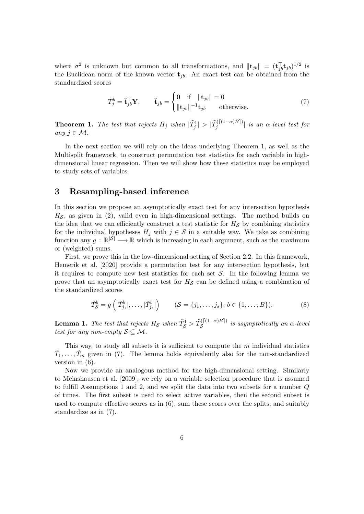where  $\sigma^2$  is unknown but common to all transformations, and  $\|\mathbf{t}_{jb}\| = (\mathbf{t}_{jb}^\top \mathbf{t}_{jb})^{1/2}$  is the Euclidean norm of the known vector  $t_{ib}$ . An exact test can be obtained from the standardized scores

<span id="page-5-2"></span>
$$
\tilde{T}_j^b = \tilde{\mathbf{t}}_{jb}^\top \mathbf{Y}, \qquad \tilde{\mathbf{t}}_{jb} = \begin{cases} \mathbf{0} & \text{if } \|\mathbf{t}_{jb}\| = 0\\ \|\mathbf{t}_{jb}\|^{-1} \mathbf{t}_{jb} & \text{otherwise.} \end{cases} \tag{7}
$$

<span id="page-5-1"></span>**Theorem 1.** The test that rejects  $H_j$  when  $|\tilde{T}_j^1| > |\tilde{T}_j^{(\lceil (1-\alpha)B \rceil)}|$  $\int_{j}^{\ln(1-\alpha)} |j|$  is an  $\alpha$ -level test for any  $j \in \mathcal{M}$ .

In the next section we will rely on the ideas underlying Theorem [1,](#page-5-1) as well as the Multisplit framework, to construct permutation test statistics for each variable in highdimensional linear regression. Then we will show how these statistics may be employed to study sets of variables.

# <span id="page-5-0"></span>3 Resampling-based inference

In this section we propose an asymptotically exact test for any intersection hypothesis  $H<sub>S</sub>$ , as given in [\(2\)](#page-2-2), valid even in high-dimensional settings. The method builds on the idea that we can efficiently construct a test statistic for  $H<sub>S</sub>$  by combining statistics for the individual hypotheses  $H_j$  with  $j \in S$  in a suitable way. We take as combining function any  $g : \mathbb{R}^{|\mathcal{S}|} \longrightarrow \mathbb{R}$  which is increasing in each argument, such as the maximum or (weighted) sums.

First, we prove this in the low-dimensional setting of Section [2.2.](#page-4-0) In this framework, [Hemerik et al.](#page-14-9) [\[2020\]](#page-14-9) provide a permutation test for any intersection hypothesis, but it requires to compute new test statistics for each set  $S$ . In the following lemma we prove that an asymptotically exact test for  $H<sub>S</sub>$  can be defined using a combination of the standardized scores

<span id="page-5-4"></span>
$$
\tilde{T}_{\mathcal{S}}^b = g\left(|\tilde{T}_{j_1}^b|, \ldots, |\tilde{T}_{j_s}^b|\right) \qquad (\mathcal{S} = \{j_1, \ldots, j_s\}, b \in \{1, \ldots, B\}).\tag{8}
$$

<span id="page-5-3"></span>**Lemma 1.** The test that rejects  $H_{\mathcal{S}}$  when  $\tilde{T}_{\mathcal{S}}^1 > \tilde{T}_{\mathcal{S}}^{(\lceil (1-\alpha)B \rceil)}$  $S^{(1(1-\alpha)D)}$  is asymptotically an  $\alpha$ -level test for any non-empty  $S \subseteq M$ .

This way, to study all subsets it is sufficient to compute the  $m$  individual statistics  $\tilde{T}_1, \ldots, \tilde{T}_m$  given in [\(7\)](#page-5-2). The lemma holds equivalently also for the non-standardized version in [\(6\)](#page-4-1).

Now we provide an analogous method for the high-dimensional setting. Similarly to [Meinshausen et al.](#page-15-1) [\[2009\]](#page-15-1), we rely on a variable selection procedure that is assumed to fulfill Assumptions [1](#page-2-1) and [2,](#page-3-0) and we split the data into two subsets for a number Q of times. The first subset is used to select active variables, then the second subset is used to compute effective scores as in [\(6\)](#page-4-1), sum these scores over the splits, and suitably standardize as in [\(7\)](#page-5-2).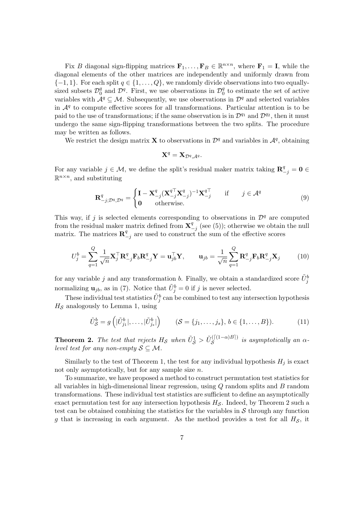Fix B diagonal sign-flipping matrices  $\mathbf{F}_1, \ldots, \mathbf{F}_B \in \mathbb{R}^{n \times n}$ , where  $\mathbf{F}_1 = \mathbf{I}$ , while the diagonal elements of the other matrices are independently and uniformly drawn from  $\{-1, 1\}$ . For each split  $q \in \{1, ..., Q\}$ , we randomly divide observations into two equallysized subsets  $\mathcal{D}_0^q$  $\frac{q}{0}$  and  $\mathcal{D}^q$ . First, we use observations in  $\mathcal{D}_0^q$  $\frac{q}{0}$  to estimate the set of active variables with  $A^q \subseteq M$ . Subsequently, we use observations in  $\mathcal{D}^q$  and selected variables in  $\mathcal{A}^q$  to compute effective scores for all transformations. Particular attention is to be paid to the use of transformations; if the same observation is in  $\mathcal{D}^{q_1}$  and  $\mathcal{D}^{q_2}$ , then it must undergo the same sign-flipping transformations between the two splits. The procedure may be written as follows.

We restrict the design matrix **X** to observations in  $\mathcal{D}^q$  and variables in  $\mathcal{A}^q$ , obtaining

<span id="page-6-3"></span><span id="page-6-2"></span>
$$
\mathbf{X}^q = \mathbf{X}_{\mathcal{D}^q, \mathcal{A}^q}.
$$

For any variable  $j \in \mathcal{M}$ , we define the split's residual maker matrix taking  $\mathbf{R}_{-j}^q = \mathbf{0} \in$  $\mathbb{R}^{n \times n}$ , and substituting

$$
\mathbf{R}_{-j;\mathcal{D}^q,\mathcal{D}^q}^q = \begin{cases} \mathbf{I} - \mathbf{X}_{-j}^q (\mathbf{X}_{-j}^{q\top} \mathbf{X}_{-j}^q)^{-1} \mathbf{X}_{-j}^{q\top} & \text{if } j \in \mathcal{A}^q \\ \mathbf{0} & \text{otherwise.} \end{cases}
$$
(9)

This way, if j is selected elements corresponding to observations in  $\mathcal{D}^q$  are computed from the residual maker matrix defined from  $X^q$ .  $\frac{q}{q-j}$  (see [\(5\)](#page-4-2)); otherwise we obtain the null matrix. The matrices  $\mathbf{R}^q$  $\frac{q}{q-j}$  are used to construct the sum of the effective scores

$$
U_j^b = \sum_{q=1}^Q \frac{1}{\sqrt{n}} \mathbf{X}_j^\top \mathbf{R}_{-j}^q \mathbf{F}_b \mathbf{R}_{-j}^q \mathbf{Y} = \mathbf{u}_{jb}^\top \mathbf{Y}, \qquad \mathbf{u}_{jb} = \frac{1}{\sqrt{n}} \sum_{q=1}^Q \mathbf{R}_{-j}^q \mathbf{F}_b \mathbf{R}_{-j}^q \mathbf{X}_j \tag{10}
$$

for any variable j and any transformation b. Finally, we obtain a standardized score  $\tilde{U}_j^b$ normalizing  $\mathbf{u}_{jb}$ , as in [\(7\)](#page-5-2). Notice that  $\tilde{U}^b_j = 0$  if j is never selected.

These individual test statistics  $\tilde{U}_j^b$  can be combined to test any intersection hypothesis  $H<sub>S</sub>$  analogously to Lemma [1,](#page-5-3) using

<span id="page-6-1"></span>
$$
\tilde{U}_{\mathcal{S}}^{b} = g\left(|\tilde{U}_{j_1}^{b}|, \ldots, |\tilde{U}_{j_s}^{b}|\right) \qquad (\mathcal{S} = \{j_1, \ldots, j_s\}, b \in \{1, \ldots, B\}).\tag{11}
$$

<span id="page-6-0"></span>**Theorem 2.** The test that rejects  $H_{\mathcal{S}}$  when  $\tilde{U}_{\mathcal{S}}^1 > \tilde{U}_{\mathcal{S}}^{(\lceil (1-\alpha)B \rceil)}$  $S$  is asymptotically an  $\alpha$ level test for any non-empty  $S \subseteq M$ .

Similarly to the test of Theorem [1,](#page-5-1) the test for any individual hypothesis  $H_j$  is exact not only asymptotically, but for any sample size  $n$ .

To summarize, we have proposed a method to construct permutation test statistics for all variables in high-dimensional linear regression, using  $Q$  random splits and  $B$  random transformations. These individual test statistics are sufficient to define an asymptotically exact permutation test for any intersection hypothesis  $H_{\mathcal{S}}$ . Indeed, by Theorem [2](#page-6-0) such a test can be obtained combining the statistics for the variables in  $S$  through any function g that is increasing in each argument. As the method provides a test for all  $H<sub>S</sub>$ , it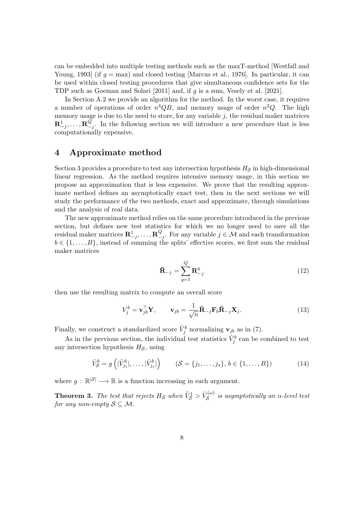can be embedded into multiple testing methods such as the maxT-method [\[Westfall and](#page-15-5) [Young, 1993\]](#page-15-5) (if  $q = \text{max}$ ) and closed testing [\[Marcus et al., 1976\]](#page-14-6). In particular, it can be used within closed testing procedures that give simultaneous confidence sets for the TDP such as [Goeman and Solari](#page-14-8) [\[2011\]](#page-14-8) and, if g is a sum, [Vesely et al.](#page-15-6) [\[2021\]](#page-15-6).

In Section [A.2](#page-16-1) we provide an algorithm for the method. In the worst case, it requires a number of operations of order  $n^4QB$ , and memory usage of order  $n^2Q$ . The high memory usage is due to the need to store, for any variable  $j$ , the residual maker matrices  $\mathbf{R}^1_{-j}, \ldots, \mathbf{R}^Q_{-}$  $\frac{Q}{q}$ . In the following section we will introduce a new procedure that is less computationally expensive.

# <span id="page-7-0"></span>4 Approximate method

Section [3](#page-5-0) provides a procedure to test any intersection hypothesis  $H<sub>S</sub>$  in high-dimensional linear regression. As the method requires intensive memory usage, in this section we propose an approximation that is less expensive. We prove that the resulting approximate method defines an asymptotically exact test, then in the next sections we will study the performance of the two methods, exact and approximate, through simulations and the analysis of real data.

The new approximate method relies on the same procedure introduced in the previous section, but defines new test statistics for which we no longer need to save all the  $\operatorname{residual}$  maker matrices  $\mathbf{R}_{-j}^1, \ldots, \mathbf{R}_{-j}^Q$  $\mathcal{L}_{-j}^Q$ . For any variable  $j \in \mathcal{M}$  and each transformation  $b \in \{1, \ldots, B\}$ , instead of summing the splits' effective scores, we first sum the residual maker matrices

<span id="page-7-3"></span><span id="page-7-2"></span>
$$
\bar{\mathbf{R}}_{-j} = \sum_{q=1}^{Q} \mathbf{R}_{-j}^{q}
$$
 (12)

then use the resulting matrix to compute an overall score

$$
V_j^b = \mathbf{v}_{jb}^\top \mathbf{Y}, \qquad \mathbf{v}_{jb} = \frac{1}{\sqrt{n}} \mathbf{\bar{R}}_{-j} \mathbf{F}_b \mathbf{\bar{R}}_{-j} \mathbf{X}_j. \tag{13}
$$

Finally, we construct a standardized score  $\tilde{V}_j^b$  normalizing  $\mathbf{v}_{jb}$  as in [\(7\)](#page-5-2).

As in the previous section, the individual test statistics  $\tilde{V}_j^b$  can be combined to test any intersection hypothesis  $H_{\mathcal{S}}$ , using

$$
\tilde{V}_{\mathcal{S}}^{b} = g\left(|\tilde{V}_{j_1}^{b}|, \ldots, |\tilde{V}_{j_s}^{b}|\right) \qquad (\mathcal{S} = \{j_1, \ldots, j_s\}, b \in \{1, \ldots, B\})
$$
\n(14)

where  $g : \mathbb{R}^{|S|} \longrightarrow \mathbb{R}$  is a function increasing in each argument.

<span id="page-7-1"></span>**Theorem 3.** The test that rejects  $H_{\mathcal{S}}$  when  $\tilde{V}_{\mathcal{S}}^1 > \tilde{V}_{\mathcal{S}}^{(\omega)}$  $\mathcal{S}^{(\omega)}$  is asymptotically an  $\alpha$ -level test for any non-empty  $S \subseteq M$ .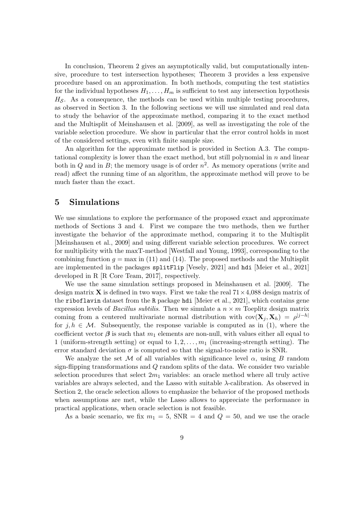In conclusion, Theorem [2](#page-6-0) gives an asymptotically valid, but computationally intensive, procedure to test intersection hypotheses; Theorem [3](#page-7-1) provides a less expensive procedure based on an approximation. In both methods, computing the test statistics for the individual hypotheses  $H_1, \ldots, H_m$  is sufficient to test any intersection hypothesis  $H<sub>S</sub>$ . As a consequence, the methods can be used within multiple testing procedures, as observed in Section [3.](#page-5-0) In the following sections we will use simulated and real data to study the behavior of the approximate method, comparing it to the exact method and the Multisplit of [Meinshausen et al.](#page-15-1) [\[2009\]](#page-15-1), as well as investigating the role of the variable selection procedure. We show in particular that the error control holds in most of the considered settings, even with finite sample size.

An algorithm for the approximate method is provided in Section [A.3.](#page-18-0) The computational complexity is lower than the exact method, but still polynomial in  $n$  and linear both in Q and in B; the memory usage is of order  $n^2$ . As memory operations (write and read) affect the running time of an algorithm, the approximate method will prove to be much faster than the exact.

### <span id="page-8-0"></span>5 Simulations

We use simulations to explore the performance of the proposed exact and approximate methods of Sections [3](#page-5-0) and [4.](#page-7-0) First we compare the two methods, then we further investigate the behavior of the approximate method, comparing it to the Multisplit [\[Meinshausen et al., 2009\]](#page-15-1) and using different variable selection procedures. We correct for multiplicity with the maxT-method [\[Westfall and Young, 1993\]](#page-15-5), corresponding to the combining function  $q = \max$  in [\(11\)](#page-6-1) and [\(14\)](#page-7-2). The proposed methods and the Multisplit are implemented in the packages splitFlip [\[Vesely, 2021\]](#page-15-8) and hdi [\[Meier et al., 2021\]](#page-15-9) developed in R [\[R Core Team, 2017\]](#page-15-10), respectively.

We use the same simulation settings proposed in [Meinshausen et al.](#page-15-1) [\[2009\]](#page-15-1). The design matrix **X** is defined in two ways. First we take the real  $71 \times 4,088$  design matrix of the riboflavin dataset from the R package hdi [\[Meier et al., 2021\]](#page-15-9), which contains gene expression levels of *Bacillus subtilis*. Then we simulate a  $n \times m$  Toeplitz design matrix coming from a centered multivariate normal distribution with  $cov(\mathbf{X}_j, \mathbf{X}_h) = \rho^{|j-h|}$ for  $j, h \in \mathcal{M}$ . Subsequently, the response variable is computed as in [\(1\)](#page-2-3), where the coefficient vector  $\beta$  is such that  $m_1$  elements are non-null, with values either all equal to 1 (uniform-strength setting) or equal to  $1, 2, \ldots, m_1$  (increasing-strength setting). The error standard deviation  $\sigma$  is computed so that the signal-to-noise ratio is SNR.

We analyze the set M of all variables with significance level  $\alpha$ , using B random sign-flipping transformations and Q random splits of the data. We consider two variable selection procedures that select  $2m_1$  variables: an oracle method where all truly active variables are always selected, and the Lasso with suitable λ-calibration. As observed in Section [2,](#page-2-0) the oracle selection allows to emphasize the behavior of the proposed methods when assumptions are met, while the Lasso allows to appreciate the performance in practical applications, when oracle selection is not feasible.

As a basic scenario, we fix  $m_1 = 5$ , SNR = 4 and  $Q = 50$ , and we use the oracle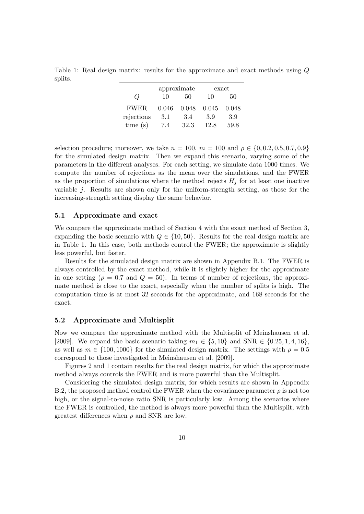<span id="page-9-0"></span>Table 1: Real design matrix: results for the approximate and exact methods using Q splits.

|             | approximate |       | exact |       |
|-------------|-------------|-------|-------|-------|
| $\omega$    | 10          | 50    | 10    | 50    |
| <b>FWER</b> | 0.046       | 0.048 | 0.045 | 0.048 |
| rejections  | 3.1         | 3.4   | 3.9   | 3.9   |
| time(s)     | 7.4         | 32.3  | 12.8  | 59.8  |

selection procedure; moreover, we take  $n = 100$ ,  $m = 100$  and  $\rho \in \{0, 0.2, 0.5, 0.7, 0.9\}$ for the simulated design matrix. Then we expand this scenario, varying some of the parameters in the different analyses. For each setting, we simulate data 1000 times. We compute the number of rejections as the mean over the simulations, and the FWER as the proportion of simulations where the method rejects  $H_j$  for at least one inactive variable  $j$ . Results are shown only for the uniform-strength setting, as those for the increasing-strength setting display the same behavior.

### 5.1 Approximate and exact

We compare the approximate method of Section [4](#page-7-0) with the exact method of Section [3,](#page-5-0) expanding the basic scenario with  $Q \in \{10, 50\}$ . Results for the real design matrix are in Table [1.](#page-9-0) In this case, both methods control the FWER; the approximate is slightly less powerful, but faster.

Results for the simulated design matrix are shown in Appendix [B.1.](#page-18-1) The FWER is always controlled by the exact method, while it is slightly higher for the approximate in one setting ( $\rho = 0.7$  and  $Q = 50$ ). In terms of number of rejections, the approximate method is close to the exact, especially when the number of splits is high. The computation time is at most 32 seconds for the approximate, and 168 seconds for the exact.

### <span id="page-9-1"></span>5.2 Approximate and Multisplit

Now we compare the approximate method with the Multisplit of [Meinshausen et al.](#page-15-1) [\[2009\]](#page-15-1). We expand the basic scenario taking  $m_1 \in \{5, 10\}$  and  $\text{SNR} \in \{0.25, 1, 4, 16\}$ , as well as  $m \in \{100, 1000\}$  for the simulated design matrix. The settings with  $\rho = 0.5$ correspond to those investigated in [Meinshausen et al.](#page-15-1) [\[2009\]](#page-15-1).

Figures [2](#page-11-0) and [1](#page-10-0) contain results for the real design matrix, for which the approximate method always controls the FWER and is more powerful than the Multisplit.

Considering the simulated design matrix, for which results are shown in Appendix [B.2,](#page-18-2) the proposed method control the FWER when the covariance parameter  $\rho$  is not too high, or the signal-to-noise ratio SNR is particularly low. Among the scenarios where the FWER is controlled, the method is always more powerful than the Multisplit, with greatest differences when  $\rho$  and SNR are low.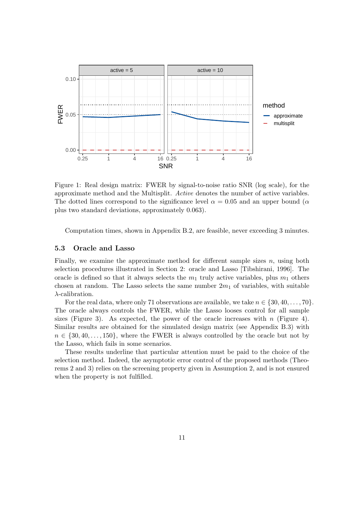

<span id="page-10-0"></span>Figure 1: Real design matrix: FWER by signal-to-noise ratio SNR (log scale), for the approximate method and the Multisplit. Active denotes the number of active variables. The dotted lines correspond to the significance level  $\alpha = 0.05$  and an upper bound ( $\alpha$ plus two standard deviations, approximately 0.063).

Computation times, shown in Appendix [B.2,](#page-18-2) are feasible, never exceeding 3 minutes.

### 5.3 Oracle and Lasso

Finally, we examine the approximate method for different sample sizes  $n$ , using both selection procedures illustrated in Section [2:](#page-2-0) oracle and Lasso [\[Tibshirani, 1996\]](#page-15-7). The oracle is defined so that it always selects the  $m_1$  truly active variables, plus  $m_1$  others chosen at random. The Lasso selects the same number  $2m_1$  of variables, with suitable  $\lambda$ -calibration.

For the real data, where only 71 observations are available, we take  $n \in \{30, 40, \ldots, 70\}$ . The oracle always controls the FWER, while the Lasso looses control for all sample sizes (Figure [3\)](#page-11-1). As expected, the power of the oracle increases with  $n$  (Figure [4\)](#page-12-1). Similar results are obtained for the simulated design matrix (see Appendix [B.3\)](#page-23-0) with  $n \in \{30, 40, \ldots, 150\}$ , where the FWER is always controlled by the oracle but not by the Lasso, which fails in some scenarios.

These results underline that particular attention must be paid to the choice of the selection method. Indeed, the asymptotic error control of the proposed methods (Theorems [2](#page-6-0) and [3\)](#page-7-1) relies on the screening property given in Assumption [2,](#page-3-0) and is not ensured when the property is not fulfilled.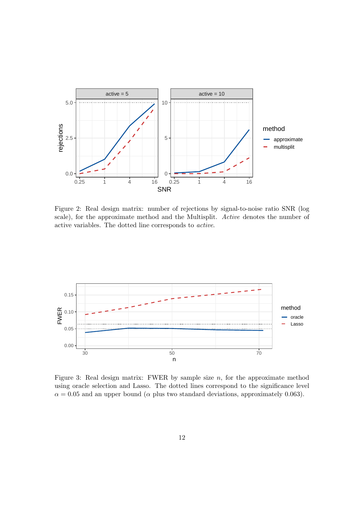

<span id="page-11-0"></span>Figure 2: Real design matrix: number of rejections by signal-to-noise ratio SNR (log scale), for the approximate method and the Multisplit. Active denotes the number of active variables. The dotted line corresponds to active.



<span id="page-11-1"></span>Figure 3: Real design matrix: FWER by sample size  $n$ , for the approximate method using oracle selection and Lasso. The dotted lines correspond to the significance level  $\alpha = 0.05$  and an upper bound ( $\alpha$  plus two standard deviations, approximately 0.063).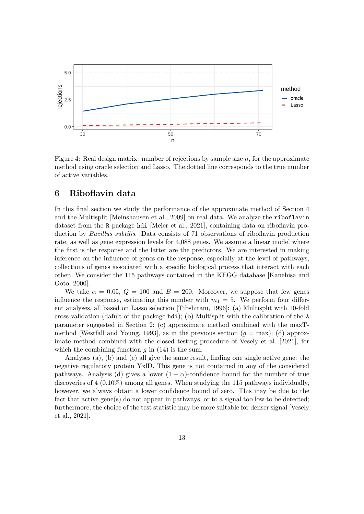

<span id="page-12-1"></span>Figure 4: Real design matrix: number of rejections by sample size n, for the approximate method using oracle selection and Lasso. The dotted line corresponds to the true number of active variables.

# <span id="page-12-0"></span>6 Riboflavin data

In this final section we study the performance of the approximate method of Section [4](#page-7-0) and the Multisplit [\[Meinshausen et al., 2009\]](#page-15-1) on real data. We analyze the riboflavin dataset from the R package hdi [\[Meier et al., 2021\]](#page-15-9), containing data on riboflavin production by Bacillus subtilis. Data consists of 71 observations of riboflavin production rate, as well as gene expression levels for 4,088 genes. We assume a linear model where the first is the response and the latter are the predictors. We are interested in making inference on the influence of genes on the response, especially at the level of pathways, collections of genes associated with a specific biological process that interact with each other. We consider the 115 pathways contained in the KEGG database [\[Kanehisa and](#page-14-11) [Goto, 2000\]](#page-14-11).

We take  $\alpha = 0.05$ ,  $Q = 100$  and  $B = 200$ . Moreover, we suppose that few genes influence the response, estimating this number with  $m_1 = 5$ . We perform four different analyses, all based on Lasso selection [\[Tibshirani, 1996\]](#page-15-7): (a) Multisplit with 10-fold cross-validation (dafult of the package hdi); (b) Multisplit with the calibration of the  $\lambda$ parameter suggested in Section [2;](#page-2-0) (c) approximate method combined with the maxT-method [\[Westfall and Young, 1993\]](#page-15-5), as in the previous section  $(q = \text{max})$ ; (d) approximate method combined with the closed testing procedure of [Vesely et al.](#page-15-6) [\[2021\]](#page-15-6), for which the combining function  $g$  in [\(14\)](#page-7-2) is the sum.

Analyses (a), (b) and (c) all give the same result, finding one single active gene: the negative regulatory protein YxlD. This gene is not contained in any of the considered pathways. Analysis (d) gives a lower  $(1 - \alpha)$ -confidence bound for the number of true discoveries of 4 (0.10%) among all genes. When studying the 115 pathways individually, however, we always obtain a lower confidence bound of zero. This may be due to the fact that active gene(s) do not appear in pathways, or to a signal too low to be detected; furthermore, the choice of the test statistic may be more suitable for denser signal [\[Vesely](#page-15-6) [et al., 2021\]](#page-15-6).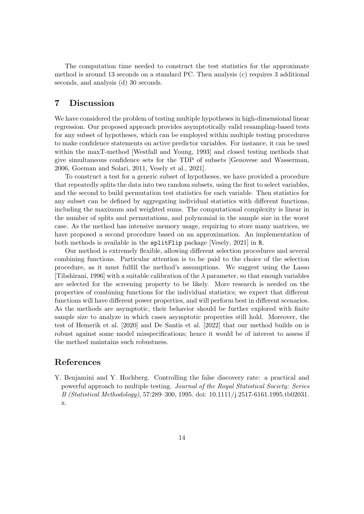The computation time needed to construct the test statistics for the approximate method is around 13 seconds on a standard PC. Then analysis (c) requires 3 additional seconds, and analysis (d) 30 seconds.

# 7 Discussion

We have considered the problem of testing multiple hypotheses in high-dimensional linear regression. Our proposed approach provides asymptotically valid resampling-based tests for any subset of hypotheses, which can be employed within multiple testing procedures to make confidence statements on active predictor variables. For instance, it can be used within the maxT-method [\[Westfall and Young, 1993\]](#page-15-5) and closed testing methods that give simultaneous confidence sets for the TDP of subsets [\[Genovese and Wasserman,](#page-14-7) [2006,](#page-14-7) [Goeman and Solari, 2011,](#page-14-8) [Vesely et al., 2021\]](#page-15-6).

To construct a test for a generic subset of hypotheses, we have provided a procedure that repeatedly splits the data into two random subsets, using the first to select variables, and the second to build permutation test statistics for each variable. Then statistics for any subset can be defined by aggregating individual statistics with different functions, including the maximum and weighted sums. The computational complexity is linear in the number of splits and permutations, and polynomial in the sample size in the worst case. As the method has intensive memory usage, requiring to store many matrices, we have proposed a second procedure based on an approximation. An implementation of both methods is available in the splitFlip package [\[Vesely, 2021\]](#page-15-8) in R.

Our method is extremely flexible, allowing different selection procedures and several combining functions. Particular attention is to be paid to the choice of the selection procedure, as it must fulfill the method's assumptions. We suggest using the Lasso [\[Tibshirani, 1996\]](#page-15-7) with a suitable calibration of the  $\lambda$  parameter, so that enough variables are selected for the screening property to be likely. More research is needed on the properties of combining functions for the individual statistics; we expect that different functions will have different power properties, and will perform best in different scenarios. As the methods are asymptotic, their behavior should be further explored with finite sample size to analyze in which cases asymptotic properties still hold. Moreover, the test of [Hemerik et al.](#page-14-9) [\[2020\]](#page-14-9) and [De Santis et al.](#page-14-10) [\[2022\]](#page-14-10) that our method builds on is robust against some model misspecifications; hence it would be of interest to assess if the method maintains such robustness.

# References

<span id="page-13-0"></span>Y. Benjamini and Y. Hochberg. Controlling the false discovery rate: a practical and powerful approach to multiple testing. Journal of the Royal Statistical Society: Series B (Statistical Methodology), 57:289–300, 1995. doi: 10.1111/j.2517-6161.1995.tb02031. x.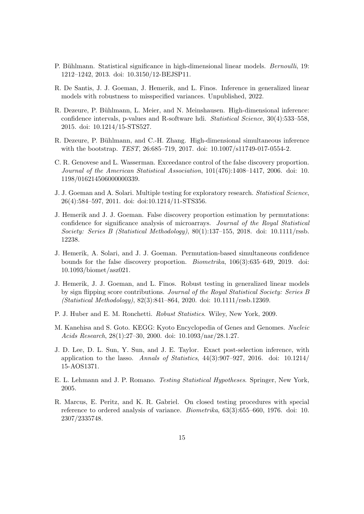- <span id="page-14-0"></span>P. Bühlmann. Statistical significance in high-dimensional linear models. *Bernoulli*, 19: 1212–1242, 2013. doi: 10.3150/12-BEJSP11.
- <span id="page-14-10"></span>R. De Santis, J. J. Goeman, J. Hemerik, and L. Finos. Inference in generalized linear models with robustness to misspecified variances. Unpublished, 2022.
- <span id="page-14-3"></span>R. Dezeure, P. Bühlmann, L. Meier, and N. Meinshausen. High-dimensional inference: confidence intervals, p-values and R-software hdi. Statistical Science, 30(4):533–558, 2015. doi: 10.1214/15-STS527.
- <span id="page-14-1"></span>R. Dezeure, P. Bühlmann, and C.-H. Zhang. High-dimensional simultaneous inference with the bootstrap. *TEST*, 26:685–719, 2017. doi: 10.1007/s11749-017-0554-2.
- <span id="page-14-7"></span>C. R. Genovese and L. Wasserman. Exceedance control of the false discovery proportion. Journal of the American Statistical Association, 101(476):1408–1417, 2006. doi: 10. 1198/016214506000000339.
- <span id="page-14-8"></span>J. J. Goeman and A. Solari. Multiple testing for exploratory research. Statistical Science, 26(4):584–597, 2011. doi: doi:10.1214/11-STS356.
- <span id="page-14-4"></span>J. Hemerik and J. J. Goeman. False discovery proportion estimation by permutations: confidence for significance analysis of microarrays. Journal of the Royal Statistical Society: Series B (Statistical Methodology),  $80(1):137-155$ , 2018. doi: 10.1111/rssb. 12238.
- <span id="page-14-5"></span>J. Hemerik, A. Solari, and J. J. Goeman. Permutation-based simultaneous confidence bounds for the false discovery proportion. Biometrika, 106(3):635–649, 2019. doi: 10.1093/biomet/asz021.
- <span id="page-14-9"></span>J. Hemerik, J. J. Goeman, and L. Finos. Robust testing in generalized linear models by sign flipping score contributions. Journal of the Royal Statistical Society: Series B (Statistical Methodology), 82(3):841–864, 2020. doi: 10.1111/rssb.12369.
- <span id="page-14-12"></span>P. J. Huber and E. M. Ronchetti. Robust Statistics. Wiley, New York, 2009.
- <span id="page-14-11"></span>M. Kanehisa and S. Goto. KEGG: Kyoto Encyclopedia of Genes and Genomes. Nucleic Acids Research, 28(1):27–30, 2000. doi: 10.1093/nar/28.1.27.
- <span id="page-14-2"></span>J. D. Lee, D. L. Sun, Y. Sun, and J. E. Taylor. Exact post-selection inference, with application to the lasso. Annals of Statistics,  $44(3):907-927$ ,  $2016$ . doi:  $10.1214/$ 15-AOS1371.
- <span id="page-14-13"></span>E. L. Lehmann and J. P. Romano. Testing Statistical Hypotheses. Springer, New York, 2005.
- <span id="page-14-6"></span>R. Marcus, E. Peritz, and K. R. Gabriel. On closed testing procedures with special reference to ordered analysis of variance. Biometrika, 63(3):655–660, 1976. doi: 10. 2307/2335748.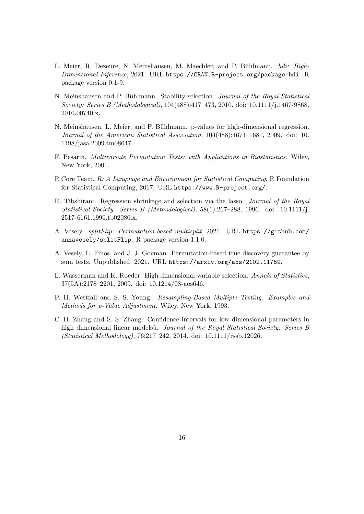- <span id="page-15-9"></span>L. Meier, R. Dezeure, N. Meinshausen, M. Maechler, and P. Bühlmann. hdi: High-Dimensional Inference, 2021. URL <https://CRAN.R-project.org/package=hdi>. R package version 0.1-9.
- <span id="page-15-0"></span>N. Meinshausen and P. Bühlmann. Stability selection. Journal of the Royal Statistical Society: Series B (Methodological), 104(488):417–473, 2010. doi: 10.1111/j.1467-9868. 2010.00740.x.
- <span id="page-15-1"></span>N. Meinshausen, L. Meier, and P. Bühlmann. p-values for high-dimensional regression. Journal of the American Statistical Association, 104(488):1671–1681, 2009. doi: 10. 1198/jasa.2009.tm08647.
- <span id="page-15-4"></span>F. Pesarin. Multivariate Permutation Tests: with Applications in Biostatistics. Wiley, New York, 2001.
- <span id="page-15-10"></span>R Core Team. R: A Language and Environment for Statistical Computing. R Foundation for Statistical Computing, 2017. URL <https://www.R-project.org/>.
- <span id="page-15-7"></span>R. Tibshirani. Regression shrinkage and selection via the lasso. Journal of the Royal Statistical Society: Series B (Methodological), 58(1):267–288, 1996. doi: 10.1111/j. 2517-6161.1996.tb02080.x.
- <span id="page-15-8"></span>A. Vesely. splitFlip: Permutation-based multisplit, 2021. URL [https://github.com/](https://github.com/annavesely/splitFlip) [annavesely/splitFlip](https://github.com/annavesely/splitFlip). R package version 1.1.0.
- <span id="page-15-6"></span>A. Vesely, L. Finos, and J. J. Goeman. Permutation-based true discovery guarantee by sum tests. Unpublished, 2021. URL <https://arxiv.org/abs/2102.11759>.
- <span id="page-15-2"></span>L. Wasserman and K. Roeder. High dimensional variable selection. Annals of Statistics, 37(5A):2178–2201, 2009. doi: 10.1214/08-aos646.
- <span id="page-15-5"></span>P. H. Westfall and S. S. Young. Resampling-Based Multiple Testing: Examples and Methods for p-Value Adjustment. Wiley, New York, 1993.
- <span id="page-15-3"></span>C.-H. Zhang and S. S. Zhang. Confidence intervals for low dimensional parameters in high dimensional linear modelsù. Journal of the Royal Statistical Society: Series B (Statistical Methodology), 76:217–242, 2014. doi: 10.1111/rssb.12026.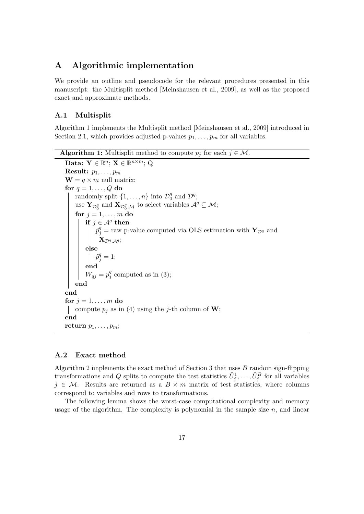# A Algorithmic implementation

We provide an outline and pseudocode for the relevant procedures presented in this manuscript: the Multisplit method [\[Meinshausen et al., 2009\]](#page-15-1), as well as the proposed exact and approximate methods.

### <span id="page-16-0"></span>A.1 Multisplit

Algorithm [1](#page-16-2) implements the Multisplit method [\[Meinshausen et al., 2009\]](#page-15-1) introduced in Section [2.1,](#page-3-1) which provides adjusted p-values  $p_1, \ldots, p_m$  for all variables.

```
Algorithm 1: Multisplit method to compute p_i for each j \in \mathcal{M}.
   Data: \mathbf{Y} \in \mathbb{R}^n; \mathbf{X} \in \mathbb{R}^{n \times m}; Q
  Result: p_1, \ldots, p_m\mathbf{W} = q \times m null matrix;
  for q = 1, \ldots, Q do
        randomly split \{1, \ldots, n\} into \mathcal{D}_0^q_0^q and \mathcal{D}^q;
        use \mathbf{Y}_{\mathcal{D}_0^q} and \mathbf{X}_{\mathcal{D}_0^q,\mathcal{M}} to select variables \mathcal{A}^q \subseteq \mathcal{M};
        for j = 1, \ldots, m do
             if j \in \mathcal{A}^q then
                   \tilde{p}_{j}^{q} = raw p-value computed via OLS estimation with \mathbf{Y}_{\mathcal{D}^{q}} and
                     \mathbf{X}_{\mathcal{D}^q, \mathcal{A}^q};else
                   \tilde{p}_j^q=1;end
             W_{qj} = p_j^q_j^q(3);
        end
  end
  for j = 1, \ldots, m do
   compute p_i(4) using the j-th column of W;
  end
  return p_1, \ldots, p_m;
```
### <span id="page-16-1"></span>A.2 Exact method

Algorithm [2](#page-17-0) implements the exact method of Section [3](#page-5-0) that uses  $B$  random sign-flipping transformations and Q splits to compute the test statistics  $\tilde{U}_j^1, \ldots, \tilde{U}_j^B$  for all variables  $j \in \mathcal{M}$ . Results are returned as a  $B \times m$  matrix of test statistics, where columns correspond to variables and rows to transformations.

The following lemma shows the worst-case computational complexity and memory usage of the algorithm. The complexity is polynomial in the sample size  $n$ , and linear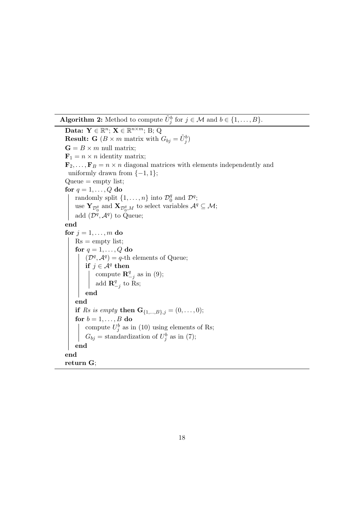**Algorithm 2:** Method to compute  $\tilde{U}_j^b$  for  $j \in \mathcal{M}$  and  $b \in \{1, ..., B\}$ .

```
Data: \mathbf{Y} \in \mathbb{R}^n; \mathbf{X} \in \mathbb{R}^{n \times m}; B; Q
Result: G (B \times m matrix with G_{bj} = \tilde{U}_j^b)
G = B \times m null matrix;
\mathbf{F}_1 = n \times n identity matrix;
\mathbf{F}_2, \ldots, \mathbf{F}_B = n \times n diagonal matrices with elements independently and
 uniformly drawn from \{-1, 1\};Queue = empty list;for q = 1, \ldots, Q do
     randomly split \{1, \ldots, n\} into \mathcal{D}_0^q_0^q and \mathcal{D}^q;
     use \mathbf{Y}_{\mathcal{D}_0^q} and \mathbf{X}_{\mathcal{D}_0^q,M} to select variables \mathcal{A}^q \subseteq \mathcal{M};add (\mathcal{D}^q, \mathcal{A}^q) to Queue;
end
for j = 1, \ldots, m do
    Rs = empty list;
     for q = 1, \ldots, Q do
          (\mathcal{D}^q, \mathcal{A}^q) = q-th elements of Queue;
          if j \in \mathcal{A}^q then
               compute \mathbf{R}^q_-\frac{q}{q-j}(9);
               add \mathbf{R}^q\frac{q}{-j} to Rs;
     end
    end
    if Rs is empty then {\bf G}_{\{1,...,B\},j} = (0,...,0);for b = 1, \ldots, B do
          compute U_j^b(10) using elements of Rs;
          G_{bj} = standardization of U_j^b(7);
    end
end
return G;
```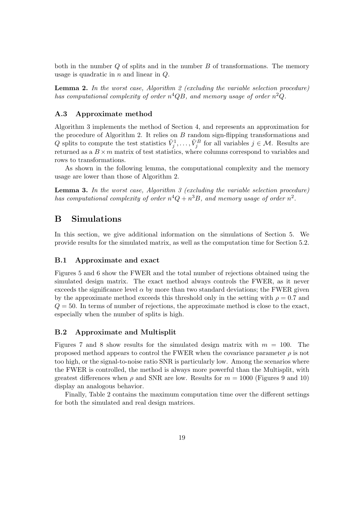both in the number  $Q$  of splits and in the number  $B$  of transformations. The memory usage is quadratic in  $n$  and linear in  $Q$ .

<span id="page-18-3"></span>**Lemma [2](#page-17-0).** In the worst case, Algorithm 2 (excluding the variable selection procedure) has computational complexity of order  $n^4QB$ , and memory usage of order  $n^2Q$ .

### <span id="page-18-0"></span>A.3 Approximate method

Algorithm [3](#page-19-0) implements the method of Section [4,](#page-7-0) and represents an approximation for the procedure of Algorithm [2.](#page-17-0) It relies on B random sign-flipping transformations and Q splits to compute the test statistics  $\tilde{V}_j^1, \ldots, \tilde{V}_j^B$  for all variables  $j \in \mathcal{M}$ . Results are returned as a  $B \times m$  matrix of test statistics, where columns correspond to variables and rows to transformations.

As shown in the following lemma, the computational complexity and the memory usage are lower than those of Algorithm [2.](#page-17-0)

<span id="page-18-4"></span>**Lemma [3](#page-19-0).** In the worst case, Algorithm  $\beta$  (excluding the variable selection procedure) has computational complexity of order  $n^4Q + n^3B$ , and memory usage of order  $n^2$ .

# B Simulations

In this section, we give additional information on the simulations of Section [5.](#page-8-0) We provide results for the simulated matrix, as well as the computation time for Section [5.2.](#page-9-1)

### <span id="page-18-1"></span>B.1 Approximate and exact

Figures [5](#page-20-0) and [6](#page-20-1) show the FWER and the total number of rejections obtained using the simulated design matrix. The exact method always controls the FWER, as it never exceeds the significance level  $\alpha$  by more than two standard deviations; the FWER given by the approximate method exceeds this threshold only in the setting with  $\rho = 0.7$  and  $Q = 50$ . In terms of number of rejections, the approximate method is close to the exact, especially when the number of splits is high.

### <span id="page-18-2"></span>B.2 Approximate and Multisplit

Figures [7](#page-21-0) and [8](#page-21-1) show results for the simulated design matrix with  $m = 100$ . The proposed method appears to control the FWER when the covariance parameter  $\rho$  is not too high, or the signal-to-noise ratio SNR is particularly low. Among the scenarios where the FWER is controlled, the method is always more powerful than the Multisplit, with greatest differences when  $\rho$  and SNR are low. Results for  $m = 1000$  (Figures [9](#page-22-0) and [10\)](#page-22-1) display an analogous behavior.

Finally, Table [2](#page-19-1) contains the maximum computation time over the different settings for both the simulated and real design matrices.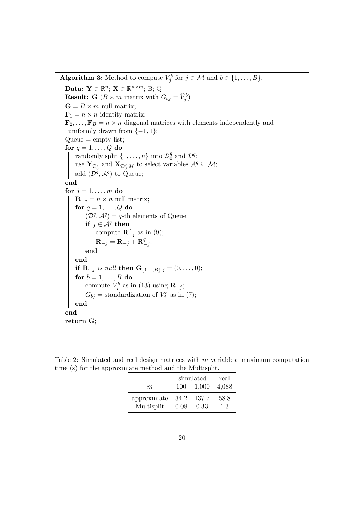**Algorithm 3:** Method to compute  $\tilde{V}_j^b$  for  $j \in \mathcal{M}$  and  $b \in \{1, ..., B\}$ .

<span id="page-19-0"></span>Data:  $\mathbf{Y} \in \mathbb{R}^n$ ;  $\mathbf{X} \in \mathbb{R}^{n \times m}$ ; B; Q **Result:** G ( $B \times m$  matrix with  $G_{bj} = \tilde{V}_j^b$ )  $G = B \times m$  null matrix;  $\mathbf{F}_1 = n \times n$  identity matrix;  $\mathbf{F}_2, \ldots, \mathbf{F}_B = n \times n$  diagonal matrices with elements independently and uniformly drawn from  $\{-1, 1\}$ ;  $Queue = empty list;$ for  $q = 1, \ldots, Q$  do randomly split  $\{1, \ldots, n\}$  into  $\mathcal{D}_0^q$  $_0^q$  and  $\mathcal{D}^q$ ; use  $\mathbf{Y}_{\mathcal{D}_0^q}$  and  $\mathbf{X}_{\mathcal{D}_0^q,M}$  to select variables  $\mathcal{A}^q \subseteq \mathcal{M};$ add  $(\mathcal{D}^q, \mathcal{A}^q)$  to Queue; end for  $j = 1, \ldots, m$  do  $\bar{\mathbf{R}}_{-i} = n \times n$  null matrix; for  $q = 1, \ldots, Q$  do  $(\mathcal{D}^q, \mathcal{A}^q) = q$ -th elements of Queue; if  $j \in \mathcal{A}^q$  then compute  $\mathbf{R}^q_ \frac{q}{q-j}$  as in [\(9\)](#page-6-2);  $\bar{\mathbf{R}}_{-j} = \bar{\mathbf{R}}_{-j} \stackrel{\circ}{+} \mathbf{R}^q_{-}$  $\frac{q}{-j};$ end end if  $\bar{R}_{-j}$  is null then  $G_{\{1,...,B\},j} = (0,...,0);$ for  $b = 1, \ldots, B$  do compute  $V_j^b$  as in [\(13\)](#page-7-3) using  $\bar{\mathbf{R}}_{-j}$ ;  $G_{bj}$  = standardization of  $V_j^b$  as in [\(7\)](#page-5-2); end end return G;

<span id="page-19-1"></span>Table 2: Simulated and real design matrices with  $m$  variables: maximum computation time (s) for the approximate method and the Multisplit.

|             | simulated |                | real        |
|-------------|-----------|----------------|-------------|
| m           | 100       | 1,000          | 4,088       |
| approximate | 34.2      | -137.7<br>0.33 | 58.8<br>1.3 |
| Multisplit  | 0.08      |                |             |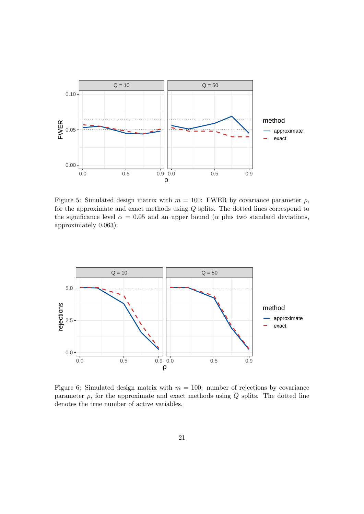

<span id="page-20-0"></span>Figure 5: Simulated design matrix with  $m = 100$ : FWER by covariance parameter  $\rho$ , for the approximate and exact methods using Q splits. The dotted lines correspond to the significance level  $\alpha = 0.05$  and an upper bound ( $\alpha$  plus two standard deviations, approximately 0.063).



<span id="page-20-1"></span>Figure 6: Simulated design matrix with  $m = 100$ : number of rejections by covariance parameter  $\rho$ , for the approximate and exact methods using  $Q$  splits. The dotted line denotes the true number of active variables.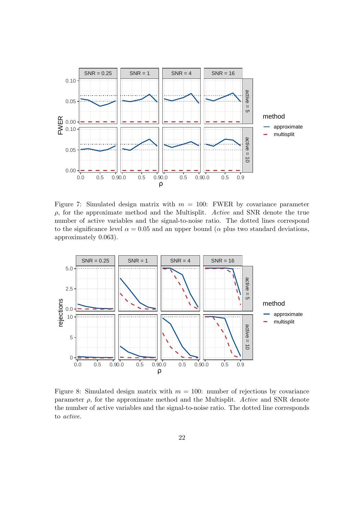

<span id="page-21-0"></span>Figure 7: Simulated design matrix with  $m = 100$ : FWER by covariance parameter  $\rho$ , for the approximate method and the Multisplit. Active and SNR denote the true number of active variables and the signal-to-noise ratio. The dotted lines correspond to the significance level  $\alpha = 0.05$  and an upper bound ( $\alpha$  plus two standard deviations, approximately 0.063).



<span id="page-21-1"></span>Figure 8: Simulated design matrix with  $m = 100$ : number of rejections by covariance parameter  $\rho$ , for the approximate method and the Multisplit. Active and SNR denote the number of active variables and the signal-to-noise ratio. The dotted line corresponds to active.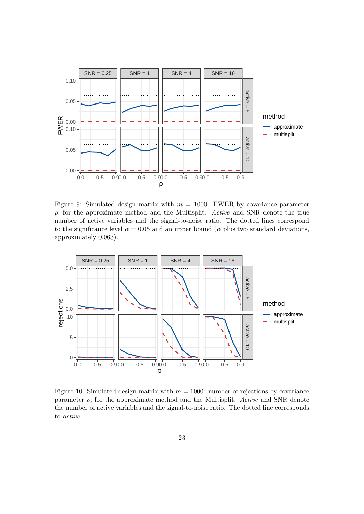

<span id="page-22-0"></span>Figure 9: Simulated design matrix with  $m = 1000$ : FWER by covariance parameter  $\rho$ , for the approximate method and the Multisplit. Active and SNR denote the true number of active variables and the signal-to-noise ratio. The dotted lines correspond to the significance level  $\alpha = 0.05$  and an upper bound ( $\alpha$  plus two standard deviations, approximately 0.063).



<span id="page-22-1"></span>Figure 10: Simulated design matrix with  $m = 1000$ : number of rejections by covariance parameter  $\rho$ , for the approximate method and the Multisplit. Active and SNR denote the number of active variables and the signal-to-noise ratio. The dotted line corresponds to active.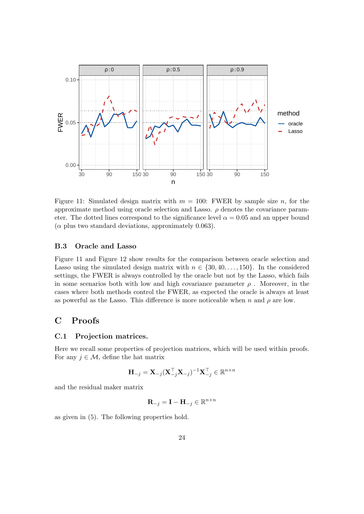

<span id="page-23-1"></span>Figure 11: Simulated design matrix with  $m = 100$ : FWER by sample size n, for the approximate method using oracle selection and Lasso.  $\rho$  denotes the covariance parameter. The dotted lines correspond to the significance level  $\alpha = 0.05$  and an upper bound  $(\alpha$  plus two standard deviations, approximately 0.063).

### <span id="page-23-0"></span>B.3 Oracle and Lasso

Figure [11](#page-23-1) and Figure [12](#page-24-0) show results for the comparison between oracle selection and Lasso using the simulated design matrix with  $n \in \{30, 40, \ldots, 150\}$ . In the considered settings, the FWER is always controlled by the oracle but not by the Lasso, which fails in some scenarios both with low and high covariance parameter  $\rho$ . Moreover, in the cases where both methods control the FWER, as expected the oracle is always at least as powerful as the Lasso. This difference is more noticeable when n and  $\rho$  are low.

# C Proofs

### <span id="page-23-2"></span>C.1 Projection matrices.

Here we recall some properties of projection matrices, which will be used within proofs. For any  $j \in \mathcal{M}$ , define the hat matrix

$$
\mathbf{H}_{-j} = \mathbf{X}_{-j} (\mathbf{X}_{-j}^\top \mathbf{X}_{-j})^{-1} \mathbf{X}_{-j}^\top \in \mathbb{R}^{n \times n}
$$

and the residual maker matrix

$$
\mathbf{R}_{-j} = \mathbf{I} - \mathbf{H}_{-j} \in \mathbb{R}^{n \times n}
$$

as given in [\(5\)](#page-4-2). The following properties hold.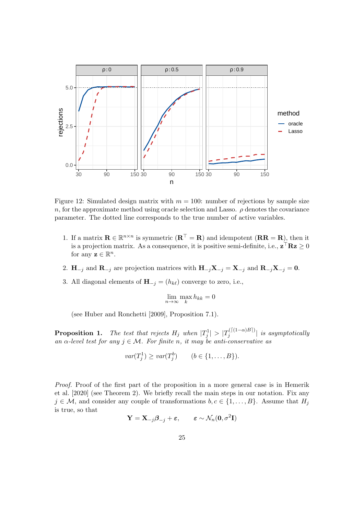

<span id="page-24-0"></span>Figure 12: Simulated design matrix with  $m = 100$ : number of rejections by sample size n, for the approximate method using oracle selection and Lasso.  $\rho$  denotes the covariance parameter. The dotted line corresponds to the true number of active variables.

- 1. If a matrix  $\mathbf{R} \in \mathbb{R}^{n \times n}$  is symmetric  $(\mathbf{R}^{\top} = \mathbf{R})$  and idempotent  $(\mathbf{R}\mathbf{R} = \mathbf{R})$ , then it is a projection matrix. As a consequence, it is positive semi-definite, i.e.,  $\mathbf{z}^\top \mathbf{R} \mathbf{z} \geq 0$ for any  $\mathbf{z} \in \mathbb{R}^n$ .
- 2.  $H_{-j}$  and  $R_{-j}$  are projection matrices with  $H_{-j}X_{-j} = X_{-j}$  and  $R_{-j}X_{-j} = 0$ .
- 3. All diagonal elements of  $\mathbf{H}_{-j} = (h_{k\ell})$  converge to zero, i.e.,

$$
\lim_{n \to \infty} \max_k h_{kk} = 0
$$

(see [Huber and Ronchetti](#page-14-12) [\[2009\]](#page-14-12), Proposition 7.1).

**Proposition [1.](#page-4-3)** The test that rejects  $H_j$  when  $|T_j^1| > |T_j^{(\lceil (1-\alpha)B \rceil)}$  $\left\vert \begin{array}{l} \frac{1}{j} \end{array} \right\vert^{j}$  is asymptotically an  $\alpha$ -level test for any  $j \in \mathcal{M}$ . For finite n, it may be anti-conservative as

$$
var(T_j^1) \ge var(T_j^b) \qquad (b \in \{1, \ldots, B\}).
$$

Proof. Proof of the first part of the proposition in a more general case is in [Hemerik](#page-14-9) [et al.](#page-14-9) [\[2020\]](#page-14-9) (see Theorem 2). We briefly recall the main steps in our notation. Fix any  $j \in \mathcal{M}$ , and consider any couple of transformations  $b, c \in \{1, ..., B\}$ . Assume that  $H_j$ is true, so that

$$
\mathbf{Y} = \mathbf{X}_{-j} \boldsymbol{\beta}_{-j} + \boldsymbol{\varepsilon}, \qquad \boldsymbol{\varepsilon} \sim \mathcal{N}_n(\mathbf{0}, \sigma^2 \mathbf{I})
$$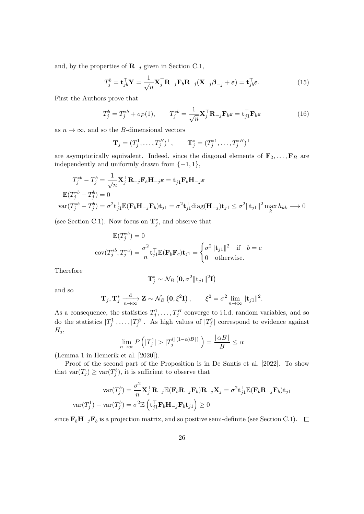and, by the properties of  $\mathbf{R}_{-j}$  given in Section [C.1,](#page-23-2)

<span id="page-25-0"></span>
$$
T_j^b = \mathbf{t}_{jb}^\top \mathbf{Y} = \frac{1}{\sqrt{n}} \mathbf{X}_j^\top \mathbf{R}_{-j} \mathbf{F}_b \mathbf{R}_{-j} (\mathbf{X}_{-j} \boldsymbol{\beta}_{-j} + \boldsymbol{\varepsilon}) = \mathbf{t}_{jb}^\top \boldsymbol{\varepsilon}.
$$
 (15)

First the Authors prove that

$$
T_j^b = T_j^{*b} + o_P(1), \qquad T_j^{*b} = \frac{1}{\sqrt{n}} \mathbf{X}_j^\top \mathbf{R}_{-j} \mathbf{F}_b \boldsymbol{\varepsilon} = \mathbf{t}_{j1}^\top \mathbf{F}_b \boldsymbol{\varepsilon}
$$
(16)

as  $n \to \infty$ , and so the *B*-dimensional vectors

<span id="page-25-1"></span>
$$
\mathbf{T}_j = (T_j^1, \dots, T_j^B)^\top, \qquad \mathbf{T}_j^* = (T_j^{*1}, \dots, T_j^{*B})^\top
$$

are asymptotically equivalent. Indeed, since the diagonal elements of  $\mathbf{F}_2, \ldots, \mathbf{F}_B$  are independently and uniformly drawn from  $\{-1, 1\}$ ,

$$
T_j^{*b} - T_j^b = \frac{1}{\sqrt{n}} \mathbf{X}_j^\top \mathbf{R}_{-j} \mathbf{F}_b \mathbf{H}_{-j} \varepsilon = \mathbf{t}_{j1}^\top \mathbf{F}_b \mathbf{H}_{-j} \varepsilon
$$
  
\n
$$
\mathbb{E}(T_j^{*b} - T_j^b) = 0
$$
  
\n
$$
\text{var}(T_j^{*b} - T_j^b) = \sigma^2 \mathbf{t}_{j1}^\top \mathbb{E}(\mathbf{F}_b \mathbf{H}_{-j} \mathbf{F}_b) \mathbf{t}_{j1} = \sigma^2 \mathbf{t}_{j1}^\top \text{diag}(\mathbf{H}_{-j}) \mathbf{t}_{j1} \leq \sigma^2 \|\mathbf{t}_{j1}\|^2 \max_k h_{kk} \longrightarrow 0
$$

(see Section [C.1\)](#page-23-2). Now focus on  $\mathbf{T}_j^*$ , and observe that

$$
\mathbb{E}(T_j^{*b}) = 0
$$
  
cov $(T_j^{*b}, T_j^{*c}) = \frac{\sigma^2}{n} \mathbf{t}_{j1}^\top \mathbb{E}(\mathbf{F}_b \mathbf{F}_c) \mathbf{t}_{j1} = \begin{cases} \sigma^2 \|\mathbf{t}_{j1}\|^2 & \text{if } b = c \\ 0 & \text{otherwise.} \end{cases}$ 

Therefore

$$
\mathbf{T}_j^* \sim \mathcal{N}_B\left(\mathbf{0}, \sigma^2 \|\mathbf{t}_{j1}\|^2 \mathbf{I}\right)
$$

and so

$$
\mathbf{T}_j, \mathbf{T}_j^* \xrightarrow[n \to \infty]{} \mathbf{Z} \sim \mathcal{N}_B \left( \mathbf{0}, \xi^2 \mathbf{I} \right), \qquad \xi^2 = \sigma^2 \lim_{n \to \infty} \|\mathbf{t}_{j1}\|^2.
$$

As a consequence, the statistics  $T_j^1, \ldots, T_j^B$  converge to i.i.d. random variables, and so do the statistics  $|T_j^1|, \ldots, |T_j^B|$ . As high values of  $|T_j^1|$  correspond to evidence against  $H_j$ ,

$$
\lim_{n \to \infty} P\left(|T_j^1| > |T_j^{(\lceil (1-\alpha)B \rceil)}|\right) = \frac{\lfloor \alpha B \rfloor}{B} \le \alpha
$$

(Lemma 1 in [Hemerik et al.](#page-14-9) [\[2020\]](#page-14-9)).

Proof of the second part of the Proposition is in [De Santis et al.](#page-14-10) [\[2022\]](#page-14-10). To show that  $\text{var}(T_j) \geq \text{var}(T_j^b)$ , it is sufficient to observe that

$$
\operatorname{var}(T_j^b) = \frac{\sigma^2}{n} \mathbf{X}_j^{\top} \mathbf{R}_{-j} \mathbb{E}(\mathbf{F}_b \mathbf{R}_{-j} \mathbf{F}_b) \mathbf{R}_{-j} \mathbf{X}_j = \sigma^2 \mathbf{t}_{j1}^{\top} \mathbb{E}(\mathbf{F}_b \mathbf{R}_{-j} \mathbf{F}_b) \mathbf{t}_{j1}
$$

$$
\operatorname{var}(T_j^1) - \operatorname{var}(T_j^b) = \sigma^2 \mathbb{E} \left( \mathbf{t}_{j1}^{\top} \mathbf{F}_b \mathbf{H}_{-j} \mathbf{F}_b \mathbf{t}_{j1} \right) \ge 0
$$

since  $\mathbf{F}_b\mathbf{H}_{-j}\mathbf{F}_b$  is a projection matrix, and so positive semi-definite (see Section [C.1\)](#page-23-2). □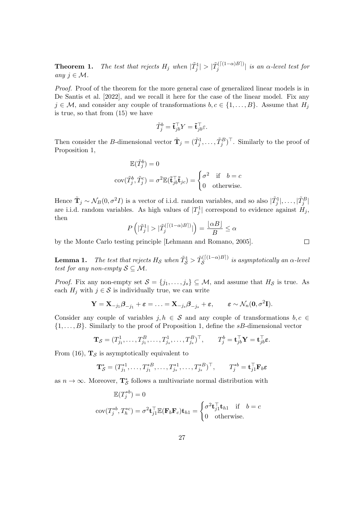**Theorem [1.](#page-5-1)** The test that rejects  $H_j$  when  $|\tilde{T}_j^1| > |\tilde{T}_j^{(\lceil (1-\alpha)B \rceil)}|$  $\int_{j}^{(\lfloor(1-\alpha)D\rfloor)}$  is an  $\alpha$ -level test for any  $j \in \mathcal{M}$ .

Proof. Proof of the theorem for the more general case of generalized linear models is in [De Santis et al.](#page-14-10) [\[2022\]](#page-14-10), and we recall it here for the case of the linear model. Fix any  $j \in \mathcal{M}$ , and consider any couple of transformations  $b, c \in \{1, ..., B\}$ . Assume that  $H_j$ is true, so that from [\(15\)](#page-25-0) we have

$$
\tilde{T}^b_j = \tilde{\mathbf{t}}_{jb}^\top Y = \tilde{\mathbf{t}}_{jb}^\top \varepsilon.
$$

Then consider the B-dimensional vector  $\tilde{\mathbf{T}}_j = (\tilde{T}_j^1, \dots, \tilde{T}_j^B)^{\top}$ . Similarly to the proof of Proposition [1,](#page-4-3)

$$
\mathbb{E}(\tilde{T}_j^b) = 0
$$
  
cov $(\tilde{T}_j^b, \tilde{T}_j^c) = \sigma^2 \mathbb{E}(\tilde{\mathbf{t}}_{jb}^{\top} \tilde{\mathbf{t}}_{jc}) = \begin{cases} \sigma^2 & \text{if } b = c \\ 0 & \text{otherwise.} \end{cases}$ 

Hence  $\tilde{\mathbf{T}}_j \sim \mathcal{N}_B(0, \sigma^2 I)$  is a vector of i.i.d. random variables, and so also  $|\tilde{T}_j^1|, \ldots, |\tilde{T}_j^B|$ are i.i.d. random variables. As high values of  $|T_j^1|$  correspond to evidence against  $H_j$ , then

$$
P\left(|\tilde{T}_j^1| > |\tilde{T}_j^{(\lceil (1-\alpha)B \rceil)}|\right) = \frac{\lfloor \alpha B \rfloor}{B} \le \alpha
$$

by the Monte Carlo testing principle [\[Lehmann and Romano, 2005\]](#page-14-13).

**Lemma [1.](#page-5-3)** The test that rejects  $H_{\mathcal{S}}$  when  $\tilde{T}_{\mathcal{S}}^1 > \tilde{T}_{\mathcal{S}}^{(\lceil (1-\alpha)B \rceil)}$  $S^{(1(1-\alpha)D)}$  is asymptotically an  $\alpha$ -level test for any non-empty  $S \subseteq M$ .

*Proof.* Fix any non-empty set  $S = \{j_1, \ldots, j_s\} \subseteq M$ , and assume that  $H_S$  is true. As each  $H_j$  with  $j \in \mathcal{S}$  is individually true, we can write

$$
\mathbf{Y} = \mathbf{X}_{-j_1} \boldsymbol{\beta}_{-j_1} + \boldsymbol{\varepsilon} = \ldots = \mathbf{X}_{-j_s} \boldsymbol{\beta}_{-j_s} + \boldsymbol{\varepsilon}, \qquad \boldsymbol{\varepsilon} \sim \mathcal{N}_n(\mathbf{0}, \sigma^2 \mathbf{I}).
$$

Consider any couple of variables j,  $h \in \mathcal{S}$  and any couple of transformations  $b, c \in \mathcal{S}$  $\{1, \ldots, B\}$ . Similarly to the proof of Proposition 1, define the sB-dimensional vector

$$
\mathbf{T}_{\mathcal{S}} = (T_{j_1}^1, \dots, T_{j_1}^B, \dots, T_{j_s}^1, \dots, T_{j_s}^B)^\top, \qquad T_j^b = \mathbf{t}_{j b}^\top \mathbf{Y} = \mathbf{t}_{j b}^\top \boldsymbol{\varepsilon}.
$$

From [\(16\)](#page-25-1),  $\mathbf{T}_{\mathcal{S}}$  is asymptotically equivalent to

$$
\mathbf{T}_{\mathcal{S}}^* = (T_{j_1}^{*1}, \dots, T_{j_1}^{*B}, \dots, T_{j_s}^{*1}, \dots, T_{j_s}^{*B})^{\top}, \qquad T_j^{*b} = \mathbf{t}_{j1}^{\top} \mathbf{F}_b \varepsilon
$$

as  $n \to \infty$ . Moreover,  $\mathbf{T}_{\mathcal{S}}^*$  follows a multivariate normal distribution with

$$
\mathbb{E}(T_j^{*b}) = 0
$$
  
cov $(T_j^{*b}, T_h^{*c}) = \sigma^2 \mathbf{t}_{j1}^\top \mathbb{E}(\mathbf{F}_b \mathbf{F}_c) \mathbf{t}_{h1} = \begin{cases} \sigma^2 \mathbf{t}_{j1}^\top \mathbf{t}_{h1} & \text{if } b = c \\ 0 & \text{otherwise.} \end{cases}$ 

 $\Box$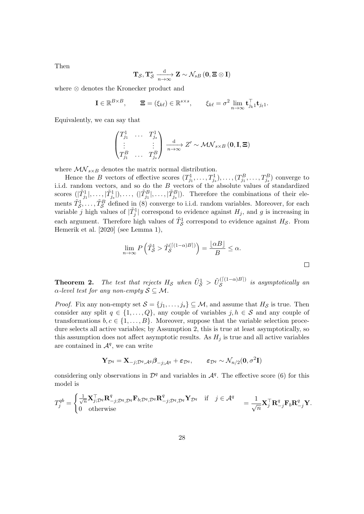Then

$$
\mathbf{T}_{\mathcal{S}}, \mathbf{T}_{\mathcal{S}}^* \xrightarrow[n \to \infty]{} \mathbf{Z} \sim \mathcal{N}_{sB} \left( \mathbf{0}, \mathbf{\Xi} \otimes \mathbf{I} \right)
$$

where ⊗ denotes the Kronecker product and

$$
\mathbf{I} \in \mathbb{R}^{B \times B}, \qquad \mathbf{\Xi} = (\xi_{k\ell}) \in \mathbb{R}^{s \times s}, \qquad \xi_{k\ell} = \sigma^2 \lim_{n \to \infty} \mathbf{t}_{j_k}^{\top} \mathbf{t}_{j_{\ell}1}.
$$

Equivalently, we can say that

$$
\begin{pmatrix} T_{j_1}^1 & \cdots & T_{j_s}^1 \\ \vdots & & \vdots \\ T_{j_1}^B & \cdots & T_{j_s}^B \end{pmatrix} \xrightarrow[n \to \infty]{\text{d}} Z' \sim \mathcal{MN}_{s \times B} (\mathbf{0}, \mathbf{I}, \mathbf{\Xi})
$$

where  $\mathcal{MN}_{s \times B}$  denotes the matrix normal distribution.

Hence the B vectors of effective scores  $(T_{j_1}^1, \ldots, T_{j_s}^1), \ldots, (T_{j_1}^B, \ldots, T_{j_s}^B)$  converge to i.i.d. random vectors, and so do the B vectors of the absolute values of standardized scores  $(|\tilde{T}_{j_1}^1|, \ldots, |\tilde{T}_{j_s}^1|, \ldots, |\tilde{T}_{j_1}^B|, \ldots, |\tilde{T}_{j_s}^B|)$ . Therefore the combinations of their elements  $\tilde{T}_{\mathcal{S}}^1, \ldots, \tilde{T}_{\mathcal{S}}^B$  defined in [\(8\)](#page-5-4) converge to i.i.d. random variables. Moreover, for each variable j high values of  $|\tilde{T}_j^1|$  correspond to evidence against  $H_j$ , and g is increasing in each argument. Therefore high values of  $\tilde{T}_{\mathcal{S}}^1$  correspond to evidence against  $H_{\mathcal{S}}$ . From [Hemerik et al.](#page-14-9) [\[2020\]](#page-14-9) (see Lemma 1),

$$
\lim_{n \to \infty} P\left(\tilde{T}_{\mathcal{S}}^1 > \tilde{T}_{\mathcal{S}}^{(\lceil (1-\alpha)B \rceil)}\right) = \frac{\lfloor \alpha B \rfloor}{B} \le \alpha.
$$

**Theorem [2.](#page-6-0)** The test that rejects  $H_{\mathcal{S}}$  when  $\tilde{U}_{\mathcal{S}}^1 > \tilde{U}_{\mathcal{S}}^{(\lceil (1-\alpha)B \rceil)}$  $S^{((1-\alpha)D)}$  is asymptotically an  $\alpha$ -level test for any non-empty  $S \subseteq \mathcal{M}$ .

*Proof.* Fix any non-empty set  $S = \{j_1, \ldots, j_s\} \subseteq M$ , and assume that  $H_S$  is true. Then consider any split  $q \in \{1, ..., Q\}$ , any couple of variables  $j, h \in S$  and any couple of transformations  $b, c \in \{1, ..., B\}$ . Moreover, suppose that the variable selection procedure selects all active variables; by Assumption [2,](#page-3-0) this is true at least asymptotically, so this assumption does not affect asymptotic results. As  $H_i$  is true and all active variables are contained in  $\mathcal{A}^q$ , we can write

$$
\mathbf{Y}_{\mathcal{D}^{q}}=\mathbf{X}_{-j;\mathcal{D}^{q},\mathcal{A}^{q}}\boldsymbol{\beta}_{-j;\mathcal{A}^{q}}+\boldsymbol{\varepsilon}_{\mathcal{D}^{q}}, \qquad \boldsymbol{\varepsilon}_{\mathcal{D}^{q}}\sim \mathcal{N}_{n/2}(\mathbf{0},\sigma^{2}\mathbf{I})
$$

considering only observations in  $\mathcal{D}^q$  and variables in  $\mathcal{A}^q$ . The effective score [\(6\)](#page-4-1) for this model is

$$
T_j^{qb} = \begin{cases} \frac{1}{\sqrt{n}} \mathbf{X}_{j;\mathcal{D}^q}^\top \mathbf{R}_{-j;\mathcal{D}^q,\mathcal{D}^q}^q \mathbf{F}_{b;\mathcal{D}^q,\mathcal{D}^q} \mathbf{R}_{-j;\mathcal{D}^q,\mathcal{D}^q}^q \mathbf{Y}_{\mathcal{D}^q} & \text{if } j \in \mathcal{A}^q\\ 0 & \text{otherwise} \end{cases} = \frac{1}{\sqrt{n}} \mathbf{X}_j^\top \mathbf{R}_{-j}^q \mathbf{F}_b \mathbf{R}_{-j}^q \mathbf{Y}.
$$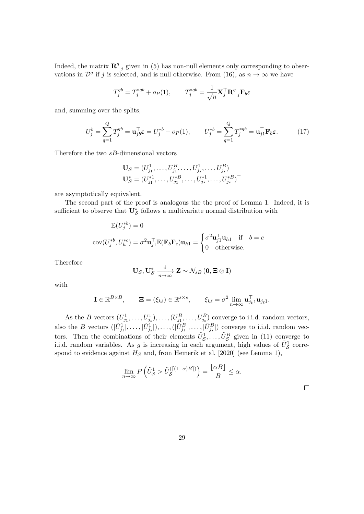Indeed, the matrix  $\mathbf{R}^q$  $\frac{q}{q-j}$  given in [\(5\)](#page-4-2) has non-null elements only corresponding to observations in  $\mathcal{D}^q$  if j is selected, and is null otherwise. From [\(16\)](#page-25-1), as  $n \to \infty$  we have

$$
T_j^{qb} = T_j^{*qb} + o_P(1), \qquad T_j^{*qb} = \frac{1}{\sqrt{n}} \mathbf{X}_j^\top \mathbf{R}_{-j}^q \mathbf{F}_b \varepsilon
$$

and, summing over the splits,

$$
U_j^b = \sum_{q=1}^Q T_j^{qb} = \mathbf{u}_{jb}^\top \boldsymbol{\varepsilon} = U_j^{*b} + o_P(1), \qquad U_j^{*b} = \sum_{q=1}^Q T_j^{*qb} = \mathbf{u}_{j1}^\top \mathbf{F}_b \boldsymbol{\varepsilon}.\tag{17}
$$

Therefore the two sB-dimensional vectors

<span id="page-28-0"></span>
$$
\mathbf{U}_{\mathcal{S}} = (U_{j_1}^1, \dots, U_{j_1}^B, \dots, U_{j_s}^1, \dots, U_{j_s}^B)^\top
$$
  

$$
\mathbf{U}_{\mathcal{S}}^* = (U_{j_1}^{*1}, \dots, U_{j_1}^{*B}, \dots, U_{j_s}^{*1}, \dots, U_{j_s}^{*B})^\top
$$

are asymptotically equivalent.

The second part of the proof is analogous the the proof of Lemma [1.](#page-5-3) Indeed, it is sufficient to observe that  $\mathbf{U}_{\mathcal{S}}^*$  follows a multivariate normal distribution with

$$
\mathbb{E}(U_j^{*b}) = 0
$$
  
cov $(U_j^{*b}, U_h^{*c}) = \sigma^2 \mathbf{u}_{j1}^\top \mathbb{E}(\mathbf{F}_b \mathbf{F}_c) \mathbf{u}_{h1} = \begin{cases} \sigma^2 \mathbf{u}_{j1}^\top \mathbf{u}_{h1} & \text{if } b = c \\ 0 & \text{otherwise.} \end{cases}$ 

Therefore

$$
\mathbf{U}_{\mathcal{S}}, \mathbf{U}_{\mathcal{S}}^* \xrightarrow[n \to \infty]{} \mathbf{Z} \sim \mathcal{N}_{sB} \left( \mathbf{0}, \mathbf{\Xi} \otimes \mathbf{I} \right)
$$

with

$$
\mathbf{I} \in \mathbb{R}^{B \times B}, \qquad \mathbf{\Xi} = (\xi_{k\ell}) \in \mathbb{R}^{s \times s}, \qquad \xi_{k\ell} = \sigma^2 \lim_{n \to \infty} \mathbf{u}_{j_k 1}^{\top} \mathbf{u}_{j_{\ell} 1}.
$$

As the B vectors  $(U_{j_1}^1, \ldots, U_{j_s}^1), \ldots, (U_{j_1}^B, \ldots, U_{j_s}^B)$  converge to i.i.d. random vectors, also the B vectors  $(|\tilde{U}_{j_1}^1|, \ldots, |\tilde{U}_{j_s}^1|, \ldots, |\tilde{U}_{j_1}^B|, \ldots, |\tilde{U}_{j_s}^B|)$  converge to i.i.d. random vectors. Then the combinations of their elements  $\tilde{U}^1_S, \ldots, \tilde{U}^B_S$  given in [\(11\)](#page-6-1) converge to i.i.d. random variables. As g is increasing in each argument, high values of  $\tilde{U}_{\mathcal{S}}^1$  correspond to evidence against  $H_{\mathcal{S}}$  and, from [Hemerik et al.](#page-14-9) [\[2020\]](#page-14-9) (see Lemma 1),

$$
\lim_{n \to \infty} P\left(\tilde{U}_{\mathcal{S}}^1 > \tilde{U}_{\mathcal{S}}^{(\lceil (1-\alpha)B \rceil)}\right) = \frac{\lfloor \alpha B \rfloor}{B} \le \alpha.
$$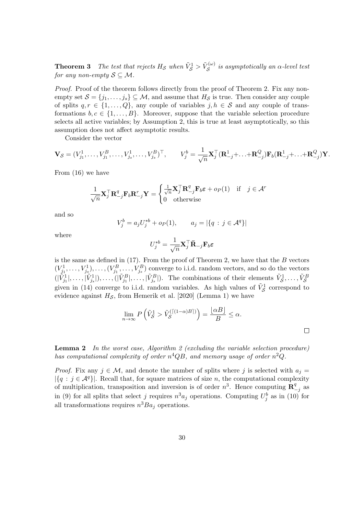**Theorem [3](#page-7-1)** The test that rejects  $H_{\mathcal{S}}$  when  $\tilde{V}_{\mathcal{S}}^1 > \tilde{V}_{\mathcal{S}}^{(\omega)}$  $\mathcal{S}^{(\omega)}$  is asymptotically an  $\alpha$ -level test for any non-empty  $S \subseteq \mathcal{M}$ .

*Proof.* Proof of the theorem follows directly from the proof of Theorem [2.](#page-6-0) Fix any nonempty set  $S = \{j_1, \ldots, j_s\} \subseteq M$ , and assume that  $H_S$  is true. Then consider any couple of splits  $q, r \in \{1, ..., Q\}$ , any couple of variables  $j, h \in S$  and any couple of transformations  $b, c \in \{1, ..., B\}$ . Moreover, suppose that the variable selection procedure selects all active variables; by Assumption [2,](#page-3-0) this is true at least asymptotically, so this assumption does not affect asymptotic results.

Consider the vector

$$
\mathbf{V}_{\mathcal{S}} = (V_{j_1}^1, \dots, V_{j_1}^B, \dots, V_{j_s}^1, \dots, V_{j_s}^B)^{\top}, \qquad V_j^b = \frac{1}{\sqrt{n}} \mathbf{X}_j^{\top} (\mathbf{R}_{-j}^1 + \dots + \mathbf{R}_{-j}^Q) \mathbf{F}_b (\mathbf{R}_{-j}^1 + \dots + \mathbf{R}_{-j}^Q) \mathbf{Y}.
$$

From [\(16\)](#page-25-1) we have

$$
\frac{1}{\sqrt{n}} \mathbf{X}_{j}^{\top} \mathbf{R}_{-j}^{q} \mathbf{F}_{b} \mathbf{R}_{-j}^{r} \mathbf{Y} = \begin{cases} \frac{1}{\sqrt{n}} \mathbf{X}_{j}^{\top} \mathbf{R}_{-j}^{q} \mathbf{F}_{b} \varepsilon + o_{P}(1) & \text{if } j \in \mathcal{A}^{r} \\ 0 & \text{otherwise} \end{cases}
$$

and so

$$
V_j^b = a_j U_j^{*b} + o_P(1), \qquad a_j = |\{q : j \in \mathcal{A}^q\}|
$$

where

$$
U_j^{*b} = \frac{1}{\sqrt{n}} \mathbf{X}_j^\top \bar{\mathbf{R}}_{-j} \mathbf{F}_b \varepsilon
$$

is the same as defined in  $(17)$ . From the proof of Theorem [2,](#page-6-0) we have that the B vectors  $(V_{j_1}^1, \ldots, V_{j_s}^1), \ldots, (V_{j_1}^B, \ldots, V_{j_s}^B)$  converge to i.i.d. random vectors, and so do the vectors  $(|\tilde{V}_{j_1}^1|,\ldots,|\tilde{V}_{j_s}^1|,\ldots,|\tilde{V}_{j_1}^B|,\ldots,|\tilde{V}_{j_s}^B|)$ . The combinations of their elements  $\tilde{V}_{\mathcal{S}}^1,\ldots,\tilde{V}_{\mathcal{S}}^B$ given in [\(14\)](#page-7-2) converge to i.i.d. random variables. As high values of  $\tilde{V}^1_{\mathcal{S}}$  correspond to evidence against  $H_{\mathcal{S}}$ , from [Hemerik et al.](#page-14-9) [\[2020\]](#page-14-9) (Lemma 1) we have

$$
\lim_{n \to \infty} P\left(\tilde{V}_{\mathcal{S}}^1 > \tilde{V}_{\mathcal{S}}^{(\lceil (1-\alpha)B \rceil)}\right) = \frac{\lfloor \alpha B \rfloor}{B} \le \alpha.
$$

**Lemma [2](#page-17-0)** In the worst case, Algorithm 2 (excluding the variable selection procedure) has computational complexity of order  $n^4QB$ , and memory usage of order  $n^2Q$ .

*Proof.* Fix any  $j \in \mathcal{M}$ , and denote the number of splits where j is selected with  $a_j =$  $|\{q : j \in \mathcal{A}^q\}|$ . Recall that, for square matrices of size n, the computational complexity of multiplication, transposition and inversion is of order  $n^3$ . Hence computing  $\mathbb{R}^4$  $\frac{q}{-j}$  as in [\(9\)](#page-6-2) for all splits that select j requires  $n^3 a_j$  operations. Computing  $U_j^b$  as in [\(10\)](#page-6-3) for all transformations requires  $n^3Ba_j$  operations.